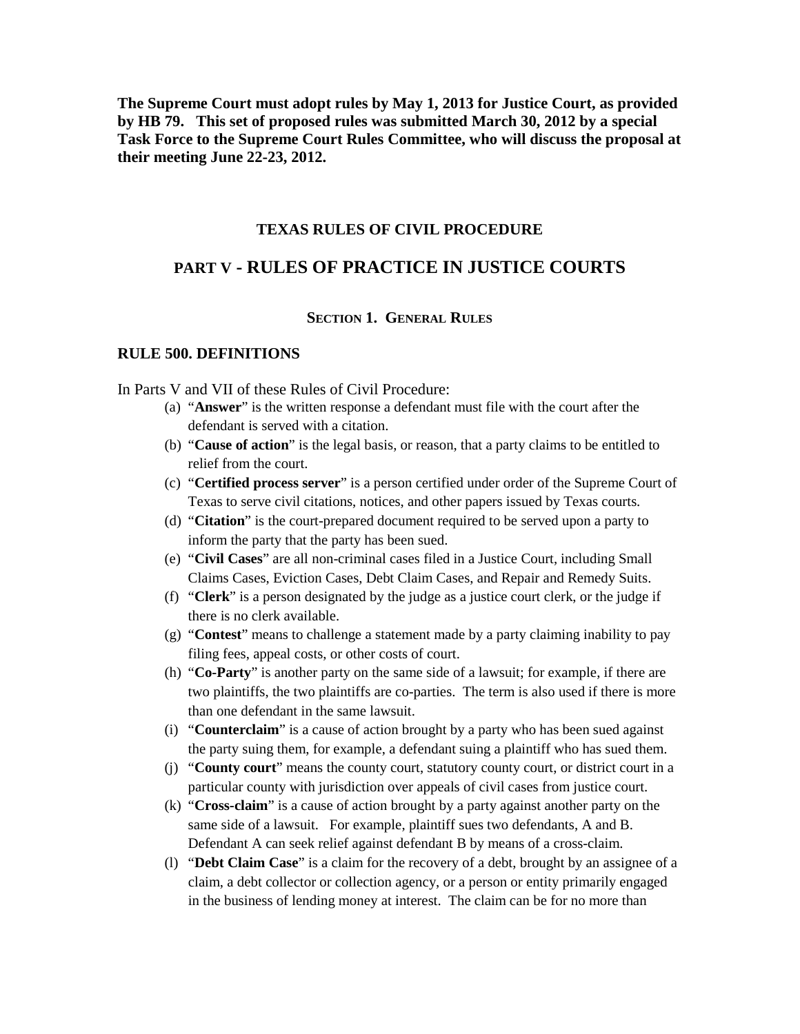**The Supreme Court must adopt rules by May 1, 2013 for Justice Court, as provided by HB 79. This set of proposed rules was submitted March 30, 2012 by a special Task Force to the Supreme Court Rules Committee, who will discuss the proposal at their meeting June 22-23, 2012.** 

#### **TEXAS RULES OF CIVIL PROCEDURE**

### **PART V - RULES OF PRACTICE IN JUSTICE COURTS**

#### **SECTION 1. GENERAL RULES**

#### **RULE 500. DEFINITIONS**

In Parts V and VII of these Rules of Civil Procedure:

- (a) "**Answer**" is the written response a defendant must file with the court after the defendant is served with a citation.
- (b) "**Cause of action**" is the legal basis, or reason, that a party claims to be entitled to relief from the court.
- (c) "**Certified process server**" is a person certified under order of the Supreme Court of Texas to serve civil citations, notices, and other papers issued by Texas courts.
- (d) "**Citation**" is the court-prepared document required to be served upon a party to inform the party that the party has been sued.
- (e) "**Civil Cases**" are all non-criminal cases filed in a Justice Court, including Small Claims Cases, Eviction Cases, Debt Claim Cases, and Repair and Remedy Suits.
- (f) "**Clerk**" is a person designated by the judge as a justice court clerk, or the judge if there is no clerk available.
- (g) "**Contest**" means to challenge a statement made by a party claiming inability to pay filing fees, appeal costs, or other costs of court.
- (h) "**Co-Party**" is another party on the same side of a lawsuit; for example, if there are two plaintiffs, the two plaintiffs are co-parties. The term is also used if there is more than one defendant in the same lawsuit.
- (i) "**Counterclaim**" is a cause of action brought by a party who has been sued against the party suing them, for example, a defendant suing a plaintiff who has sued them.
- (j) "**County court**" means the county court, statutory county court, or district court in a particular county with jurisdiction over appeals of civil cases from justice court.
- (k) "**Cross-claim**" is a cause of action brought by a party against another party on the same side of a lawsuit. For example, plaintiff sues two defendants, A and B. Defendant A can seek relief against defendant B by means of a cross-claim.
- (l) "**Debt Claim Case**" is a claim for the recovery of a debt, brought by an assignee of a claim, a debt collector or collection agency, or a person or entity primarily engaged in the business of lending money at interest. The claim can be for no more than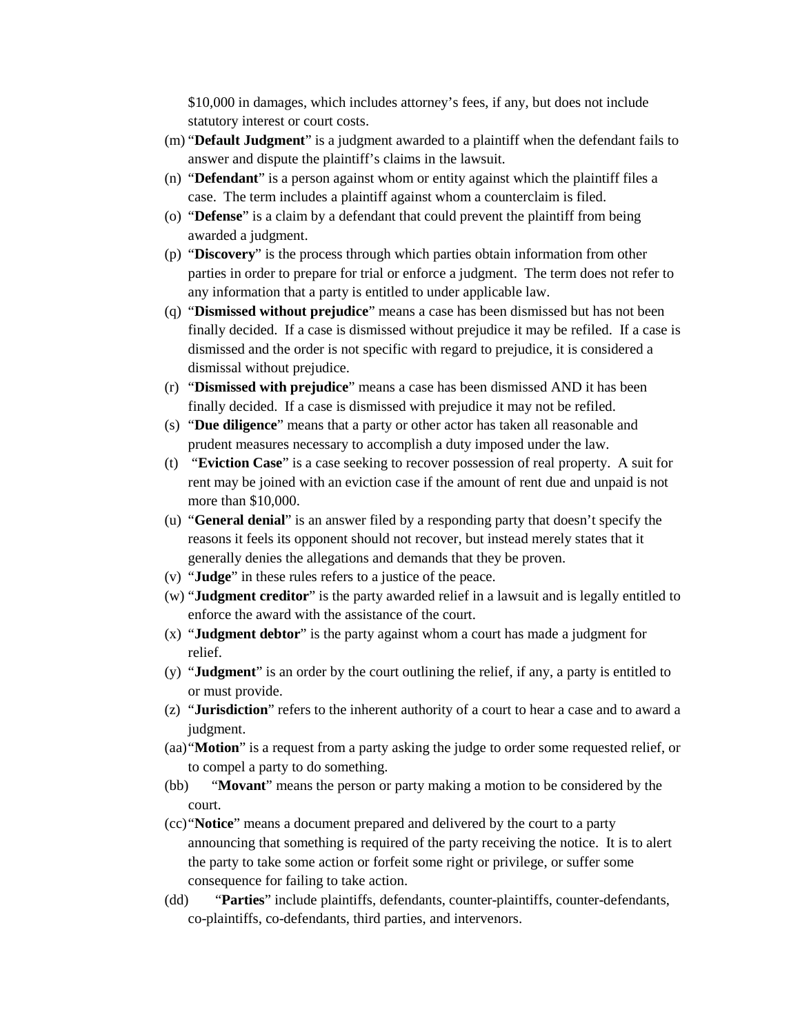\$10,000 in damages, which includes attorney's fees, if any, but does not include statutory interest or court costs.

- (m) "**Default Judgment**" is a judgment awarded to a plaintiff when the defendant fails to answer and dispute the plaintiff's claims in the lawsuit.
- (n) "**Defendant**" is a person against whom or entity against which the plaintiff files a case. The term includes a plaintiff against whom a counterclaim is filed.
- (o) "**Defense**" is a claim by a defendant that could prevent the plaintiff from being awarded a judgment.
- (p) "**Discovery**" is the process through which parties obtain information from other parties in order to prepare for trial or enforce a judgment. The term does not refer to any information that a party is entitled to under applicable law.
- (q) "**Dismissed without prejudice**" means a case has been dismissed but has not been finally decided. If a case is dismissed without prejudice it may be refiled. If a case is dismissed and the order is not specific with regard to prejudice, it is considered a dismissal without prejudice.
- (r) "**Dismissed with prejudice**" means a case has been dismissed AND it has been finally decided. If a case is dismissed with prejudice it may not be refiled.
- (s) "**Due diligence**" means that a party or other actor has taken all reasonable and prudent measures necessary to accomplish a duty imposed under the law.
- (t) "**Eviction Case**" is a case seeking to recover possession of real property. A suit for rent may be joined with an eviction case if the amount of rent due and unpaid is not more than \$10,000.
- (u) "**General denial**" is an answer filed by a responding party that doesn't specify the reasons it feels its opponent should not recover, but instead merely states that it generally denies the allegations and demands that they be proven.
- (v) "**Judge**" in these rules refers to a justice of the peace.
- (w) "**Judgment creditor**" is the party awarded relief in a lawsuit and is legally entitled to enforce the award with the assistance of the court.
- (x) "**Judgment debtor**" is the party against whom a court has made a judgment for relief.
- (y) "**Judgment**" is an order by the court outlining the relief, if any, a party is entitled to or must provide.
- (z) "**Jurisdiction**" refers to the inherent authority of a court to hear a case and to award a judgment.
- (aa)"**Motion**" is a request from a party asking the judge to order some requested relief, or to compel a party to do something.
- (bb) "**Movant**" means the person or party making a motion to be considered by the court.
- (cc)"**Notice**" means a document prepared and delivered by the court to a party announcing that something is required of the party receiving the notice. It is to alert the party to take some action or forfeit some right or privilege, or suffer some consequence for failing to take action.
- (dd) "**Parties**" include plaintiffs, defendants, counter-plaintiffs, counter-defendants, co-plaintiffs, co-defendants, third parties, and intervenors.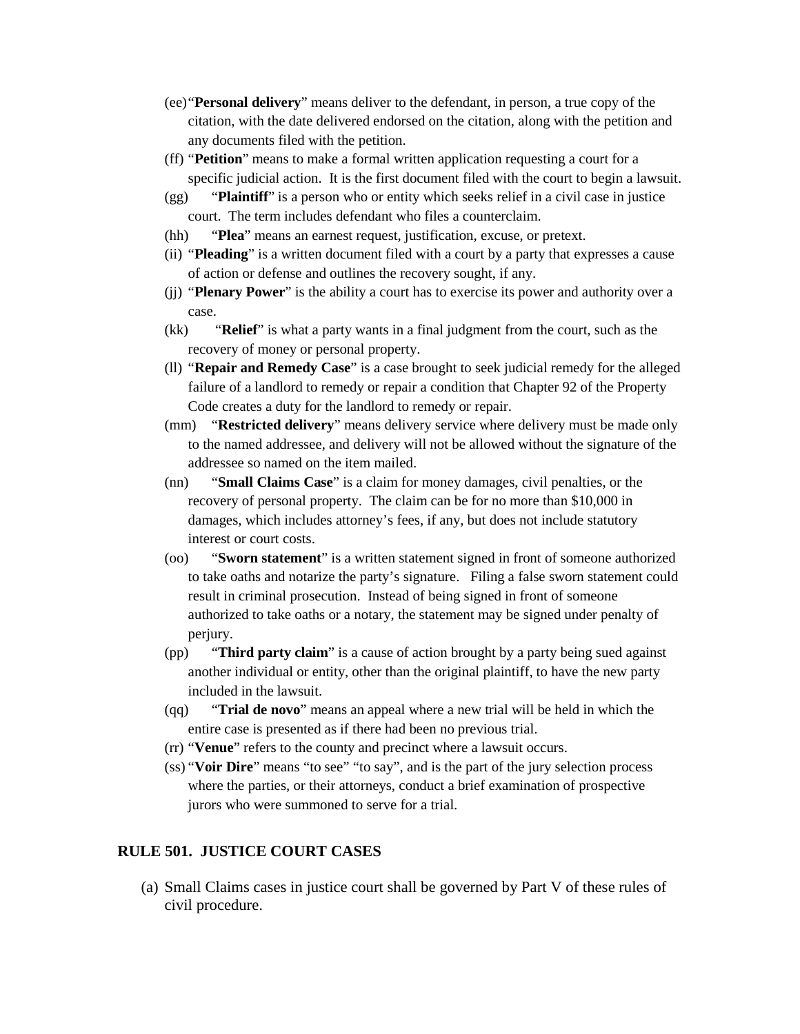- (ee)"**Personal delivery**" means deliver to the defendant, in person, a true copy of the citation, with the date delivered endorsed on the citation, along with the petition and any documents filed with the petition.
- (ff) "**Petition**" means to make a formal written application requesting a court for a specific judicial action. It is the first document filed with the court to begin a lawsuit.
- (gg) "**Plaintiff**" is a person who or entity which seeks relief in a civil case in justice court. The term includes defendant who files a counterclaim.
- (hh) "**Plea**" means an earnest request, justification, excuse, or pretext.
- (ii) "**Pleading**" is a written document filed with a court by a party that expresses a cause of action or defense and outlines the recovery sought, if any.
- (jj) "**Plenary Power**" is the ability a court has to exercise its power and authority over a case.
- (kk) "**Relief**" is what a party wants in a final judgment from the court, such as the recovery of money or personal property.
- (ll) "**Repair and Remedy Case**" is a case brought to seek judicial remedy for the alleged failure of a landlord to remedy or repair a condition that Chapter 92 of the Property Code creates a duty for the landlord to remedy or repair.
- (mm) "**Restricted delivery**" means delivery service where delivery must be made only to the named addressee, and delivery will not be allowed without the signature of the addressee so named on the item mailed.
- (nn) "**Small Claims Case**" is a claim for money damages, civil penalties, or the recovery of personal property. The claim can be for no more than \$10,000 in damages, which includes attorney's fees, if any, but does not include statutory interest or court costs.
- (oo) "**Sworn statement**" is a written statement signed in front of someone authorized to take oaths and notarize the party's signature. Filing a false sworn statement could result in criminal prosecution. Instead of being signed in front of someone authorized to take oaths or a notary, the statement may be signed under penalty of perjury.
- (pp) "**Third party claim**" is a cause of action brought by a party being sued against another individual or entity, other than the original plaintiff, to have the new party included in the lawsuit.
- (qq) "**Trial de novo**" means an appeal where a new trial will be held in which the entire case is presented as if there had been no previous trial.
- (rr) "**Venue**" refers to the county and precinct where a lawsuit occurs.
- (ss) "**Voir Dire**" means "to see" "to say", and is the part of the jury selection process where the parties, or their attorneys, conduct a brief examination of prospective jurors who were summoned to serve for a trial.

#### **RULE 501. JUSTICE COURT CASES**

(a) Small Claims cases in justice court shall be governed by Part V of these rules of civil procedure.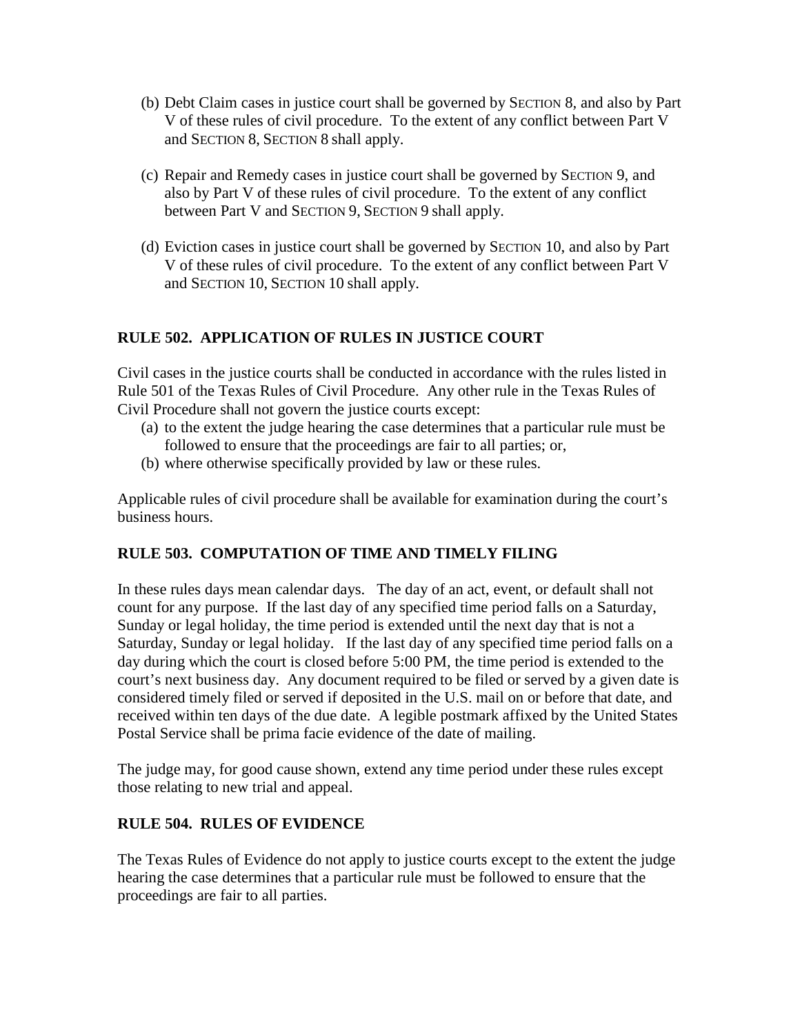- (b) Debt Claim cases in justice court shall be governed by SECTION 8*,* and also by Part V of these rules of civil procedure. To the extent of any conflict between Part V and SECTION 8, SECTION 8 shall apply.
- (c) Repair and Remedy cases in justice court shall be governed by SECTION 9, and also by Part V of these rules of civil procedure. To the extent of any conflict between Part V and SECTION 9, SECTION 9 shall apply.
- (d) Eviction cases in justice court shall be governed by SECTION 10, and also by Part V of these rules of civil procedure. To the extent of any conflict between Part V and SECTION 10, SECTION 10 shall apply.

## **RULE 502. APPLICATION OF RULES IN JUSTICE COURT**

Civil cases in the justice courts shall be conducted in accordance with the rules listed in Rule 501 of the Texas Rules of Civil Procedure. Any other rule in the Texas Rules of Civil Procedure shall not govern the justice courts except:

- (a) to the extent the judge hearing the case determines that a particular rule must be followed to ensure that the proceedings are fair to all parties; or,
- (b) where otherwise specifically provided by law or these rules.

Applicable rules of civil procedure shall be available for examination during the court's business hours.

### **RULE 503. COMPUTATION OF TIME AND TIMELY FILING**

In these rules days mean calendar days. The day of an act, event, or default shall not count for any purpose. If the last day of any specified time period falls on a Saturday, Sunday or legal holiday, the time period is extended until the next day that is not a Saturday, Sunday or legal holiday. If the last day of any specified time period falls on a day during which the court is closed before 5:00 PM, the time period is extended to the court's next business day. Any document required to be filed or served by a given date is considered timely filed or served if deposited in the U.S. mail on or before that date, and received within ten days of the due date. A legible postmark affixed by the United States Postal Service shall be prima facie evidence of the date of mailing.

The judge may, for good cause shown, extend any time period under these rules except those relating to new trial and appeal.

#### **RULE 504. RULES OF EVIDENCE**

The Texas Rules of Evidence do not apply to justice courts except to the extent the judge hearing the case determines that a particular rule must be followed to ensure that the proceedings are fair to all parties.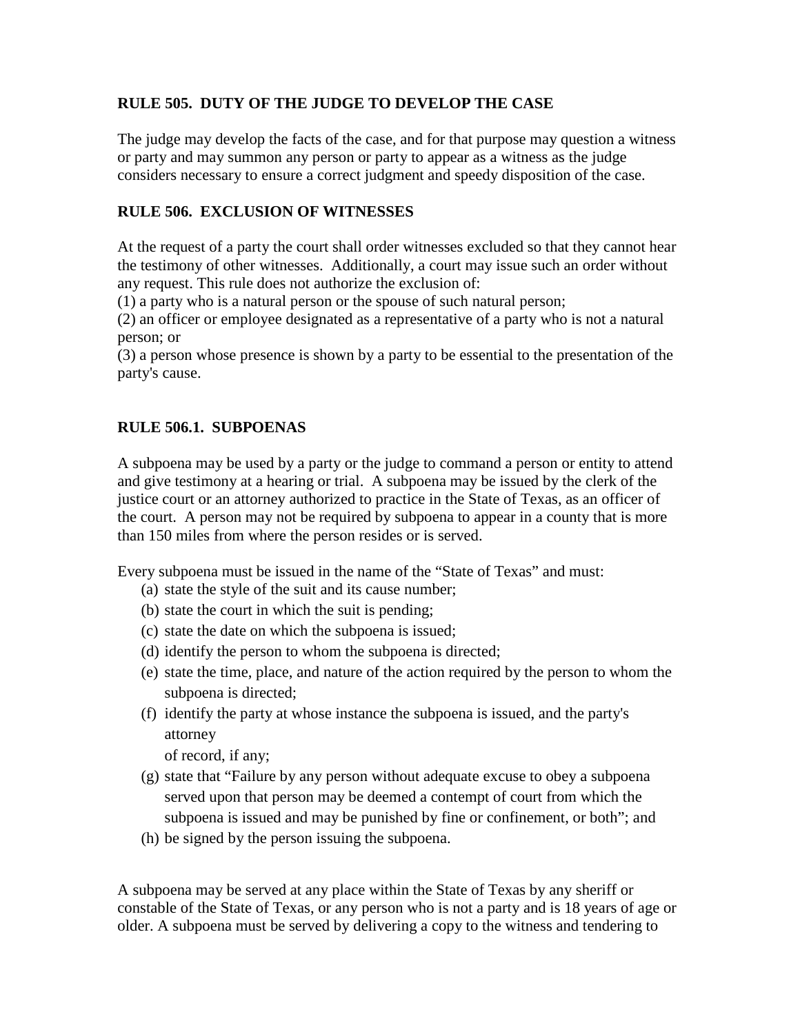## **RULE 505. DUTY OF THE JUDGE TO DEVELOP THE CASE**

The judge may develop the facts of the case, and for that purpose may question a witness or party and may summon any person or party to appear as a witness as the judge considers necessary to ensure a correct judgment and speedy disposition of the case.

### **RULE 506. EXCLUSION OF WITNESSES**

At the request of a party the court shall order witnesses excluded so that they cannot hear the testimony of other witnesses. Additionally, a court may issue such an order without any request. This rule does not authorize the exclusion of:

(1) a party who is a natural person or the spouse of such natural person;

(2) an officer or employee designated as a representative of a party who is not a natural person; or

(3) a person whose presence is shown by a party to be essential to the presentation of the party's cause.

## **RULE 506.1. SUBPOENAS**

A subpoena may be used by a party or the judge to command a person or entity to attend and give testimony at a hearing or trial. A subpoena may be issued by the clerk of the justice court or an attorney authorized to practice in the State of Texas, as an officer of the court. A person may not be required by subpoena to appear in a county that is more than 150 miles from where the person resides or is served.

Every subpoena must be issued in the name of the "State of Texas" and must:

- (a) state the style of the suit and its cause number;
- (b) state the court in which the suit is pending;
- (c) state the date on which the subpoena is issued;
- (d) identify the person to whom the subpoena is directed;
- (e) state the time, place, and nature of the action required by the person to whom the subpoena is directed;
- (f) identify the party at whose instance the subpoena is issued, and the party's attorney

of record, if any;

- (g) state that "Failure by any person without adequate excuse to obey a subpoena served upon that person may be deemed a contempt of court from which the subpoena is issued and may be punished by fine or confinement, or both"; and
- (h) be signed by the person issuing the subpoena.

A subpoena may be served at any place within the State of Texas by any sheriff or constable of the State of Texas, or any person who is not a party and is 18 years of age or older. A subpoena must be served by delivering a copy to the witness and tendering to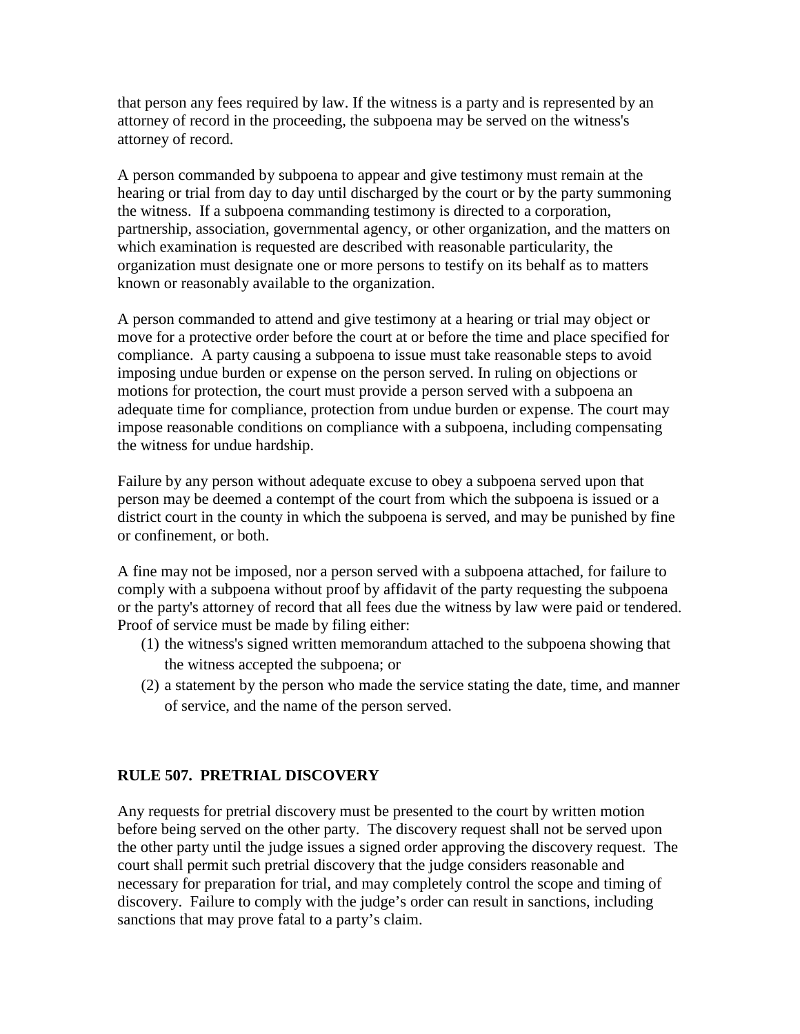that person any fees required by law. If the witness is a party and is represented by an attorney of record in the proceeding, the subpoena may be served on the witness's attorney of record.

A person commanded by subpoena to appear and give testimony must remain at the hearing or trial from day to day until discharged by the court or by the party summoning the witness.If a subpoena commanding testimony is directed to a corporation, partnership, association, governmental agency, or other organization, and the matters on which examination is requested are described with reasonable particularity, the organization must designate one or more persons to testify on its behalf as to matters known or reasonably available to the organization.

A person commanded to attend and give testimony at a hearing or trial may object or move for a protective order before the court at or before the time and place specified for compliance. A party causing a subpoena to issue must take reasonable steps to avoid imposing undue burden or expense on the person served. In ruling on objections or motions for protection, the court must provide a person served with a subpoena an adequate time for compliance, protection from undue burden or expense. The court may impose reasonable conditions on compliance with a subpoena, including compensating the witness for undue hardship.

Failure by any person without adequate excuse to obey a subpoena served upon that person may be deemed a contempt of the court from which the subpoena is issued or a district court in the county in which the subpoena is served, and may be punished by fine or confinement, or both.

A fine may not be imposed, nor a person served with a subpoena attached, for failure to comply with a subpoena without proof by affidavit of the party requesting the subpoena or the party's attorney of record that all fees due the witness by law were paid or tendered. Proof of service must be made by filing either:

- (1) the witness's signed written memorandum attached to the subpoena showing that the witness accepted the subpoena; or
- (2) a statement by the person who made the service stating the date, time, and manner of service, and the name of the person served.

### **RULE 507. PRETRIAL DISCOVERY**

Any requests for pretrial discovery must be presented to the court by written motion before being served on the other party. The discovery request shall not be served upon the other party until the judge issues a signed order approving the discovery request. The court shall permit such pretrial discovery that the judge considers reasonable and necessary for preparation for trial, and may completely control the scope and timing of discovery. Failure to comply with the judge's order can result in sanctions, including sanctions that may prove fatal to a party's claim.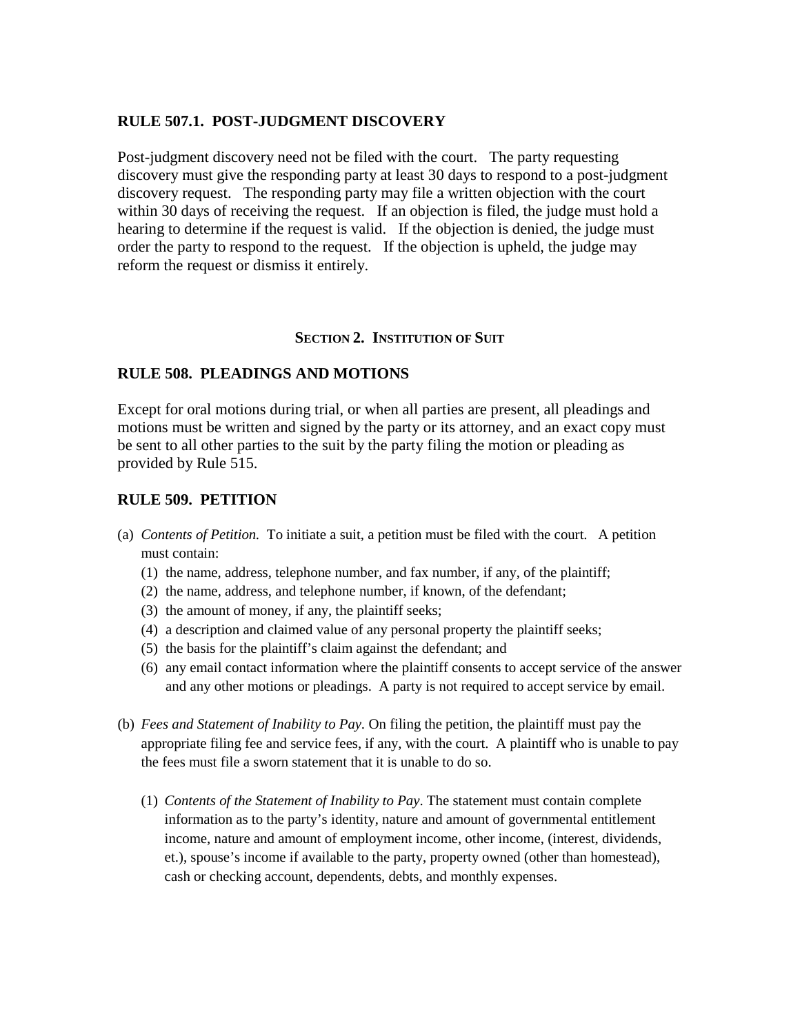#### **RULE 507.1. POST-JUDGMENT DISCOVERY**

Post-judgment discovery need not be filed with the court. The party requesting discovery must give the responding party at least 30 days to respond to a post-judgment discovery request. The responding party may file a written objection with the court within 30 days of receiving the request. If an objection is filed, the judge must hold a hearing to determine if the request is valid. If the objection is denied, the judge must order the party to respond to the request. If the objection is upheld, the judge may reform the request or dismiss it entirely.

#### **SECTION 2. INSTITUTION OF SUIT**

#### **RULE 508. PLEADINGS AND MOTIONS**

Except for oral motions during trial, or when all parties are present, all pleadings and motions must be written and signed by the party or its attorney, and an exact copy must be sent to all other parties to the suit by the party filing the motion or pleading as provided by Rule 515.

#### **RULE 509. PETITION**

- (a) *Contents of Petition.* To initiate a suit, a petition must be filed with the court. A petition must contain:
	- (1) the name, address, telephone number, and fax number, if any, of the plaintiff;
	- (2) the name, address, and telephone number, if known, of the defendant;
	- (3) the amount of money, if any, the plaintiff seeks;
	- (4) a description and claimed value of any personal property the plaintiff seeks;
	- (5) the basis for the plaintiff's claim against the defendant; and
	- (6) any email contact information where the plaintiff consents to accept service of the answer and any other motions or pleadings. A party is not required to accept service by email.
- (b) *Fees and Statement of Inability to Pay.* On filing the petition, the plaintiff must pay the appropriate filing fee and service fees, if any, with the court. A plaintiff who is unable to pay the fees must file a sworn statement that it is unable to do so.
	- (1) *Contents of the Statement of Inability to Pay*. The statement must contain complete information as to the party's identity, nature and amount of governmental entitlement income, nature and amount of employment income, other income, (interest, dividends, et.), spouse's income if available to the party, property owned (other than homestead), cash or checking account, dependents, debts, and monthly expenses.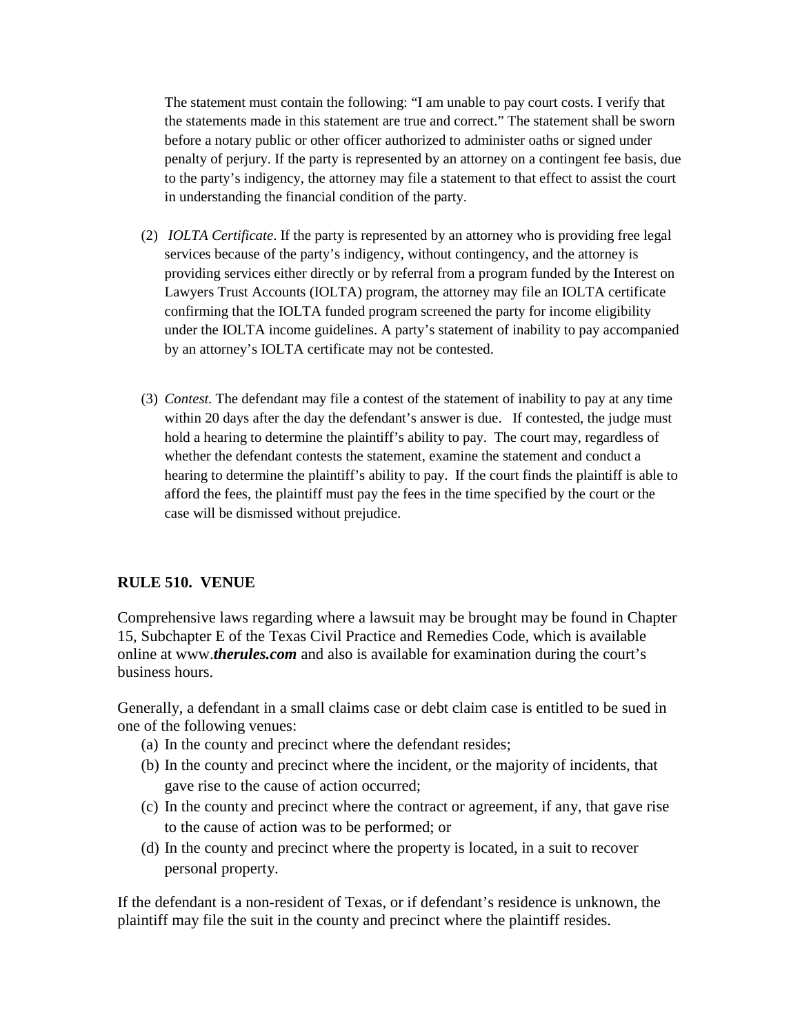The statement must contain the following: "I am unable to pay court costs. I verify that the statements made in this statement are true and correct." The statement shall be sworn before a notary public or other officer authorized to administer oaths or signed under penalty of perjury. If the party is represented by an attorney on a contingent fee basis, due to the party's indigency, the attorney may file a statement to that effect to assist the court in understanding the financial condition of the party.

- (2) *IOLTA Certificate*. If the party is represented by an attorney who is providing free legal services because of the party's indigency, without contingency, and the attorney is providing services either directly or by referral from a program funded by the Interest on Lawyers Trust Accounts (IOLTA) program, the attorney may file an IOLTA certificate confirming that the IOLTA funded program screened the party for income eligibility under the IOLTA income guidelines. A party's statement of inability to pay accompanied by an attorney's IOLTA certificate may not be contested.
- (3) *Contest.* The defendant may file a contest of the statement of inability to pay at any time within 20 days after the day the defendant's answer is due. If contested, the judge must hold a hearing to determine the plaintiff's ability to pay. The court may, regardless of whether the defendant contests the statement, examine the statement and conduct a hearing to determine the plaintiff's ability to pay. If the court finds the plaintiff is able to afford the fees, the plaintiff must pay the fees in the time specified by the court or the case will be dismissed without prejudice.

#### **RULE 510. VENUE**

Comprehensive laws regarding where a lawsuit may be brought may be found in Chapter 15, Subchapter E of the Texas Civil Practice and Remedies Code, which is available online at www.*therules.com* and also is available for examination during the court's business hours.

Generally, a defendant in a small claims case or debt claim case is entitled to be sued in one of the following venues:

- (a) In the county and precinct where the defendant resides;
- (b) In the county and precinct where the incident, or the majority of incidents, that gave rise to the cause of action occurred;
- (c) In the county and precinct where the contract or agreement, if any, that gave rise to the cause of action was to be performed; or
- (d) In the county and precinct where the property is located, in a suit to recover personal property.

If the defendant is a non-resident of Texas, or if defendant's residence is unknown, the plaintiff may file the suit in the county and precinct where the plaintiff resides.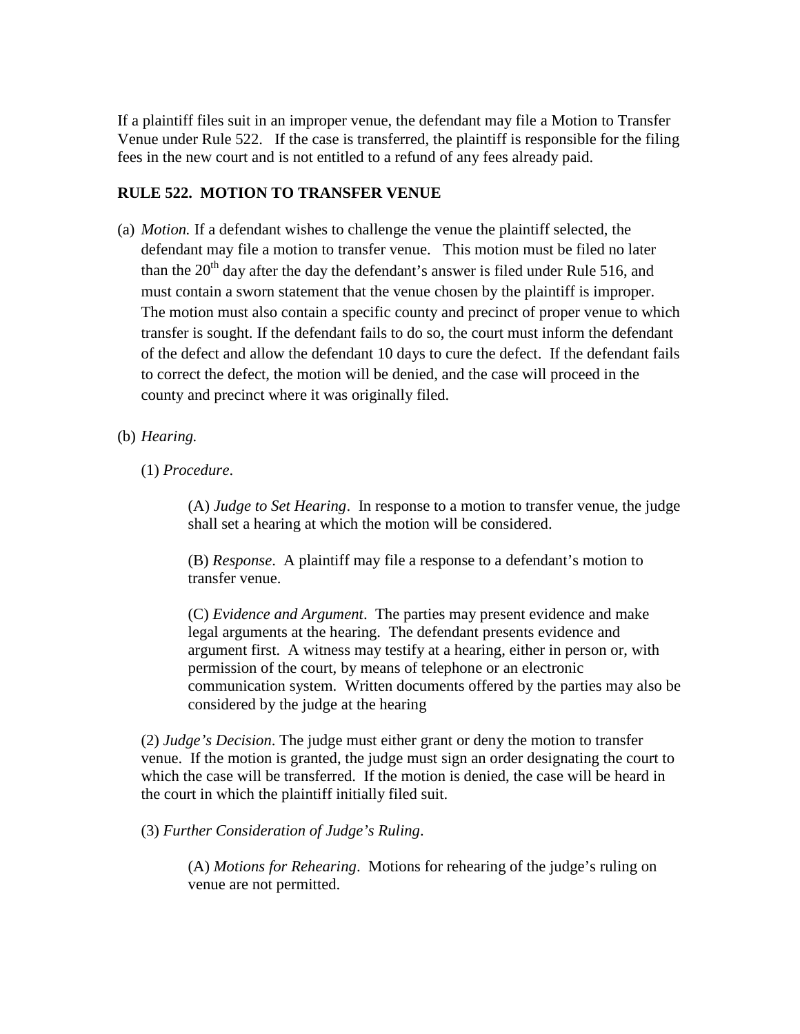If a plaintiff files suit in an improper venue, the defendant may file a Motion to Transfer Venue under Rule 522. If the case is transferred, the plaintiff is responsible for the filing fees in the new court and is not entitled to a refund of any fees already paid.

#### **RULE 522. MOTION TO TRANSFER VENUE**

- (a) *Motion.* If a defendant wishes to challenge the venue the plaintiff selected, the defendant may file a motion to transfer venue. This motion must be filed no later than the  $20<sup>th</sup>$  day after the day the defendant's answer is filed under Rule 516, and must contain a sworn statement that the venue chosen by the plaintiff is improper. The motion must also contain a specific county and precinct of proper venue to which transfer is sought. If the defendant fails to do so, the court must inform the defendant of the defect and allow the defendant 10 days to cure the defect. If the defendant fails to correct the defect, the motion will be denied, and the case will proceed in the county and precinct where it was originally filed.
- (b) *Hearing.*
	- (1) *Procedure*.

(A) *Judge to Set Hearing*. In response to a motion to transfer venue, the judge shall set a hearing at which the motion will be considered.

(B) *Response*. A plaintiff may file a response to a defendant's motion to transfer venue.

(C) *Evidence and Argument*. The parties may present evidence and make legal arguments at the hearing. The defendant presents evidence and argument first. A witness may testify at a hearing, either in person or, with permission of the court, by means of telephone or an electronic communication system. Written documents offered by the parties may also be considered by the judge at the hearing

(2) *Judge's Decision*. The judge must either grant or deny the motion to transfer venue. If the motion is granted, the judge must sign an order designating the court to which the case will be transferred. If the motion is denied, the case will be heard in the court in which the plaintiff initially filed suit.

(3) *Further Consideration of Judge's Ruling*.

(A) *Motions for Rehearing*. Motions for rehearing of the judge's ruling on venue are not permitted.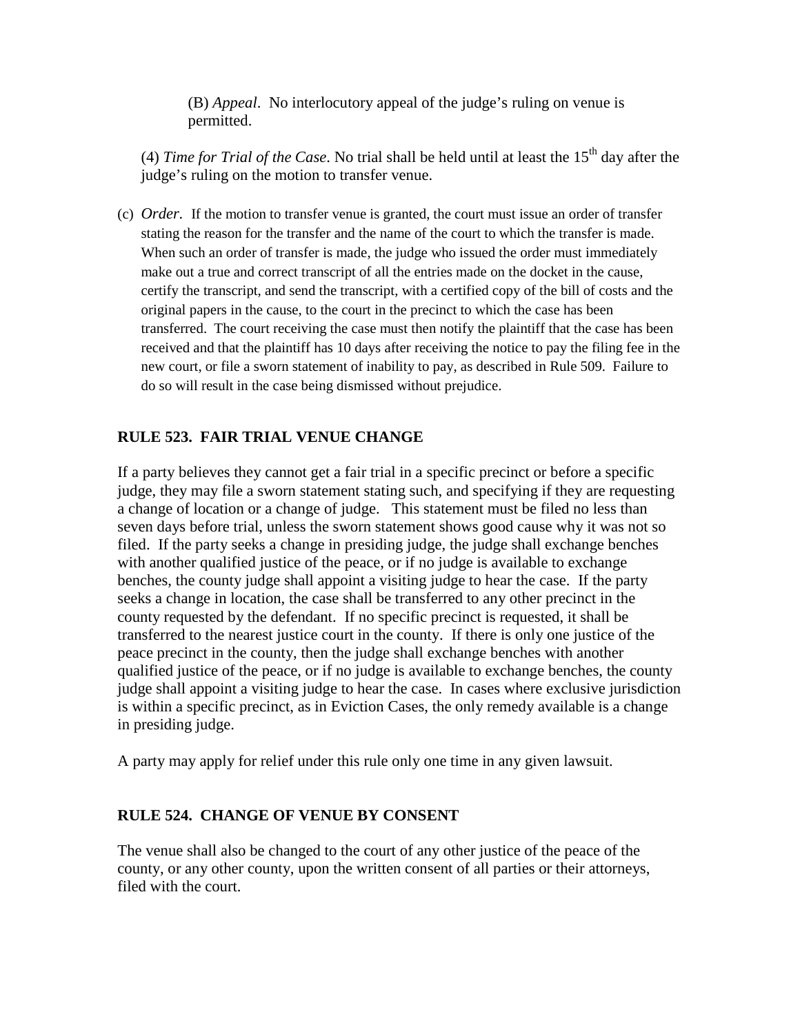(B) *Appeal*. No interlocutory appeal of the judge's ruling on venue is permitted.

(4) *Time for Trial of the Case*. No trial shall be held until at least the  $15<sup>th</sup>$  day after the judge's ruling on the motion to transfer venue.

(c) *Order.* If the motion to transfer venue is granted, the court must issue an order of transfer stating the reason for the transfer and the name of the court to which the transfer is made. When such an order of transfer is made, the judge who issued the order must immediately make out a true and correct transcript of all the entries made on the docket in the cause, certify the transcript, and send the transcript, with a certified copy of the bill of costs and the original papers in the cause, to the court in the precinct to which the case has been transferred. The court receiving the case must then notify the plaintiff that the case has been received and that the plaintiff has 10 days after receiving the notice to pay the filing fee in the new court, or file a sworn statement of inability to pay, as described in Rule 509. Failure to do so will result in the case being dismissed without prejudice.

### **RULE 523. FAIR TRIAL VENUE CHANGE**

If a party believes they cannot get a fair trial in a specific precinct or before a specific judge, they may file a sworn statement stating such, and specifying if they are requesting a change of location or a change of judge. This statement must be filed no less than seven days before trial, unless the sworn statement shows good cause why it was not so filed. If the party seeks a change in presiding judge, the judge shall exchange benches with another qualified justice of the peace, or if no judge is available to exchange benches, the county judge shall appoint a visiting judge to hear the case. If the party seeks a change in location, the case shall be transferred to any other precinct in the county requested by the defendant. If no specific precinct is requested, it shall be transferred to the nearest justice court in the county. If there is only one justice of the peace precinct in the county, then the judge shall exchange benches with another qualified justice of the peace, or if no judge is available to exchange benches, the county judge shall appoint a visiting judge to hear the case. In cases where exclusive jurisdiction is within a specific precinct, as in Eviction Cases, the only remedy available is a change in presiding judge.

A party may apply for relief under this rule only one time in any given lawsuit.

### **RULE 524. CHANGE OF VENUE BY CONSENT**

The venue shall also be changed to the court of any other justice of the peace of the county, or any other county, upon the written consent of all parties or their attorneys, filed with the court.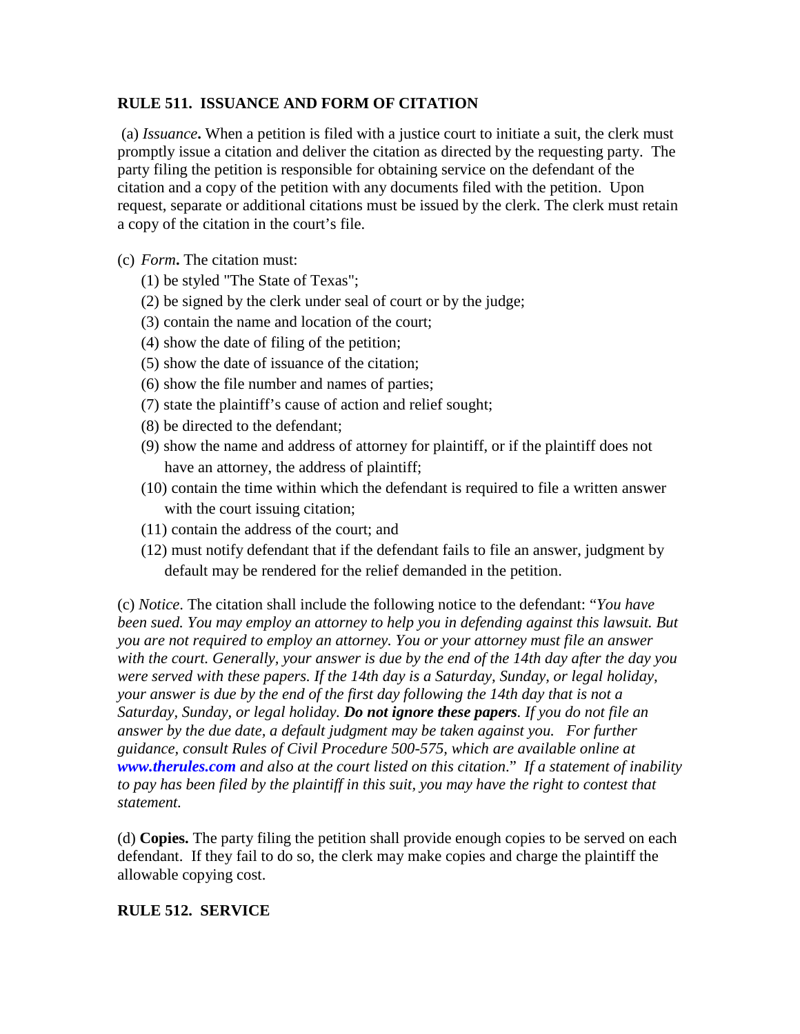#### **RULE 511. ISSUANCE AND FORM OF CITATION**

(a) *Issuance***.** When a petition is filed with a justice court to initiate a suit, the clerk must promptly issue a citation and deliver the citation as directed by the requesting party. The party filing the petition is responsible for obtaining service on the defendant of the citation and a copy of the petition with any documents filed with the petition. Upon request, separate or additional citations must be issued by the clerk. The clerk must retain a copy of the citation in the court's file.

- (c) *Form***.** The citation must:
	- (1) be styled "The State of Texas";
	- (2) be signed by the clerk under seal of court or by the judge;
	- (3) contain the name and location of the court;
	- (4) show the date of filing of the petition;
	- (5) show the date of issuance of the citation;
	- (6) show the file number and names of parties;
	- (7) state the plaintiff's cause of action and relief sought;
	- (8) be directed to the defendant;
	- (9) show the name and address of attorney for plaintiff, or if the plaintiff does not have an attorney, the address of plaintiff;
	- (10) contain the time within which the defendant is required to file a written answer with the court issuing citation;
	- (11) contain the address of the court; and
	- (12) must notify defendant that if the defendant fails to file an answer, judgment by default may be rendered for the relief demanded in the petition.

(c) *Notice*. The citation shall include the following notice to the defendant: "*You have been sued. You may employ an attorney to help you in defending against this lawsuit. But you are not required to employ an attorney. You or your attorney must file an answer with the court. Generally, your answer is due by the end of the 14th day after the day you were served with these papers. If the 14th day is a Saturday, Sunday, or legal holiday, your answer is due by the end of the first day following the 14th day that is not a Saturday, Sunday, or legal holiday. Do not ignore these papers. If you do not file an answer by the due date, a default judgment may be taken against you. For further guidance, consult Rules of Civil Procedure 500-575, which are available online at [www.therules.com](http://www.therules.com/) and also at the court listed on this citation*." *If a statement of inability to pay has been filed by the plaintiff in this suit, you may have the right to contest that statement.*

(d) **Copies.** The party filing the petition shall provide enough copies to be served on each defendant. If they fail to do so, the clerk may make copies and charge the plaintiff the allowable copying cost.

#### **RULE 512. SERVICE**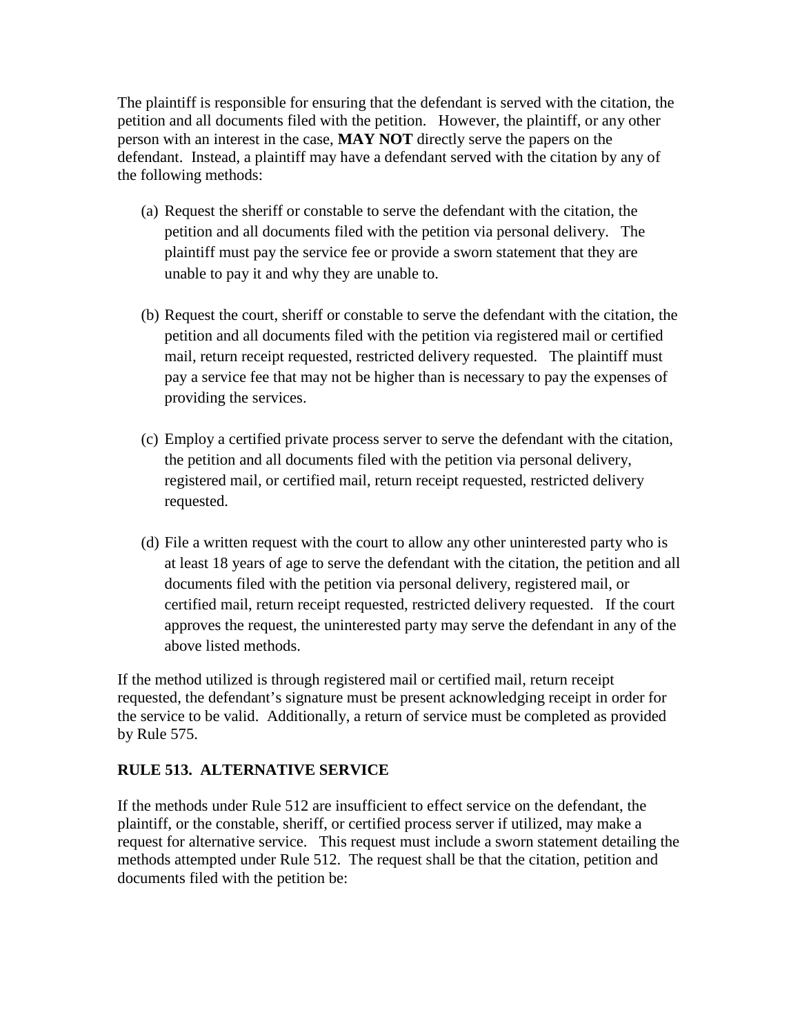The plaintiff is responsible for ensuring that the defendant is served with the citation, the petition and all documents filed with the petition. However, the plaintiff, or any other person with an interest in the case, **MAY NOT** directly serve the papers on the defendant. Instead, a plaintiff may have a defendant served with the citation by any of the following methods:

- (a) Request the sheriff or constable to serve the defendant with the citation, the petition and all documents filed with the petition via personal delivery. The plaintiff must pay the service fee or provide a sworn statement that they are unable to pay it and why they are unable to.
- (b) Request the court, sheriff or constable to serve the defendant with the citation, the petition and all documents filed with the petition via registered mail or certified mail, return receipt requested, restricted delivery requested. The plaintiff must pay a service fee that may not be higher than is necessary to pay the expenses of providing the services.
- (c) Employ a certified private process server to serve the defendant with the citation, the petition and all documents filed with the petition via personal delivery, registered mail, or certified mail, return receipt requested, restricted delivery requested.
- (d) File a written request with the court to allow any other uninterested party who is at least 18 years of age to serve the defendant with the citation, the petition and all documents filed with the petition via personal delivery, registered mail, or certified mail, return receipt requested, restricted delivery requested. If the court approves the request, the uninterested party may serve the defendant in any of the above listed methods.

If the method utilized is through registered mail or certified mail, return receipt requested, the defendant's signature must be present acknowledging receipt in order for the service to be valid. Additionally, a return of service must be completed as provided by Rule 575.

### **RULE 513. ALTERNATIVE SERVICE**

If the methods under Rule 512 are insufficient to effect service on the defendant, the plaintiff, or the constable, sheriff, or certified process server if utilized, may make a request for alternative service. This request must include a sworn statement detailing the methods attempted under Rule 512. The request shall be that the citation, petition and documents filed with the petition be: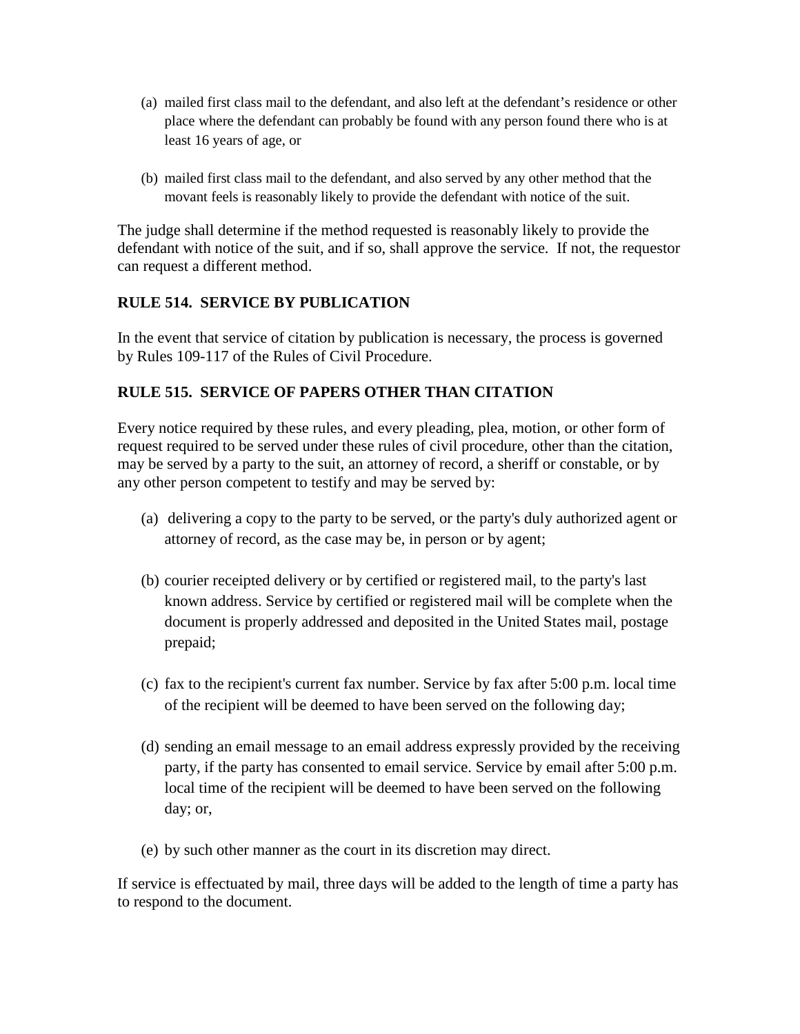- (a) mailed first class mail to the defendant, and also left at the defendant's residence or other place where the defendant can probably be found with any person found there who is at least 16 years of age, or
- (b) mailed first class mail to the defendant, and also served by any other method that the movant feels is reasonably likely to provide the defendant with notice of the suit.

The judge shall determine if the method requested is reasonably likely to provide the defendant with notice of the suit, and if so, shall approve the service. If not, the requestor can request a different method.

## **RULE 514. SERVICE BY PUBLICATION**

In the event that service of citation by publication is necessary, the process is governed by Rules 109-117 of the Rules of Civil Procedure.

### **RULE 515. SERVICE OF PAPERS OTHER THAN CITATION**

Every notice required by these rules, and every pleading, plea, motion, or other form of request required to be served under these rules of civil procedure, other than the citation, may be served by a party to the suit, an attorney of record, a sheriff or constable, or by any other person competent to testify and may be served by:

- (a) delivering a copy to the party to be served, or the party's duly authorized agent or attorney of record, as the case may be, in person or by agent;
- (b) courier receipted delivery or by certified or registered mail, to the party's last known address. Service by certified or registered mail will be complete when the document is properly addressed and deposited in the United States mail, postage prepaid;
- (c) fax to the recipient's current fax number. Service by fax after 5:00 p.m. local time of the recipient will be deemed to have been served on the following day;
- (d) sending an email message to an email address expressly provided by the receiving party, if the party has consented to email service. Service by email after 5:00 p.m. local time of the recipient will be deemed to have been served on the following day; or,
- (e) by such other manner as the court in its discretion may direct.

If service is effectuated by mail, three days will be added to the length of time a party has to respond to the document.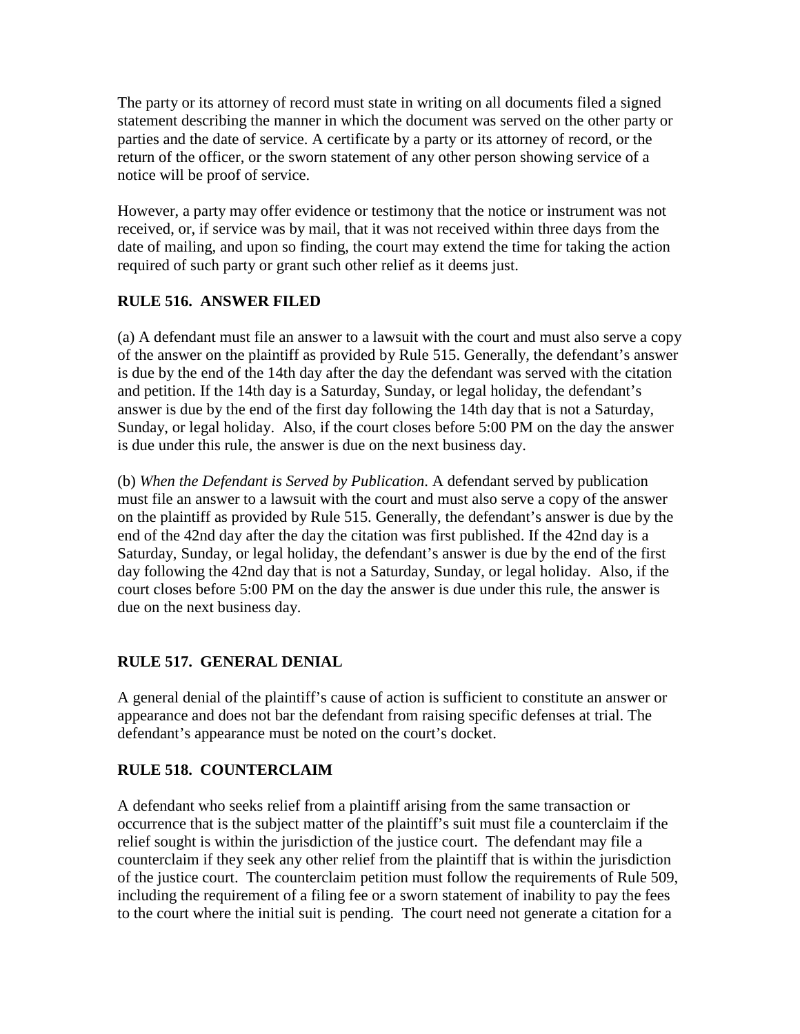The party or its attorney of record must state in writing on all documents filed a signed statement describing the manner in which the document was served on the other party or parties and the date of service. A certificate by a party or its attorney of record, or the return of the officer, or the sworn statement of any other person showing service of a notice will be proof of service.

However, a party may offer evidence or testimony that the notice or instrument was not received, or, if service was by mail, that it was not received within three days from the date of mailing, and upon so finding, the court may extend the time for taking the action required of such party or grant such other relief as it deems just.

## **RULE 516. ANSWER FILED**

(a) A defendant must file an answer to a lawsuit with the court and must also serve a copy of the answer on the plaintiff as provided by Rule 515. Generally, the defendant's answer is due by the end of the 14th day after the day the defendant was served with the citation and petition. If the 14th day is a Saturday, Sunday, or legal holiday, the defendant's answer is due by the end of the first day following the 14th day that is not a Saturday, Sunday, or legal holiday. Also, if the court closes before 5:00 PM on the day the answer is due under this rule, the answer is due on the next business day.

(b) *When the Defendant is Served by Publication*. A defendant served by publication must file an answer to a lawsuit with the court and must also serve a copy of the answer on the plaintiff as provided by Rule 515. Generally, the defendant's answer is due by the end of the 42nd day after the day the citation was first published. If the 42nd day is a Saturday, Sunday, or legal holiday, the defendant's answer is due by the end of the first day following the 42nd day that is not a Saturday, Sunday, or legal holiday. Also, if the court closes before 5:00 PM on the day the answer is due under this rule, the answer is due on the next business day.

## **RULE 517. GENERAL DENIAL**

A general denial of the plaintiff's cause of action is sufficient to constitute an answer or appearance and does not bar the defendant from raising specific defenses at trial. The defendant's appearance must be noted on the court's docket.

### **RULE 518. COUNTERCLAIM**

A defendant who seeks relief from a plaintiff arising from the same transaction or occurrence that is the subject matter of the plaintiff's suit must file a counterclaim if the relief sought is within the jurisdiction of the justice court. The defendant may file a counterclaim if they seek any other relief from the plaintiff that is within the jurisdiction of the justice court. The counterclaim petition must follow the requirements of Rule 509, including the requirement of a filing fee or a sworn statement of inability to pay the fees to the court where the initial suit is pending. The court need not generate a citation for a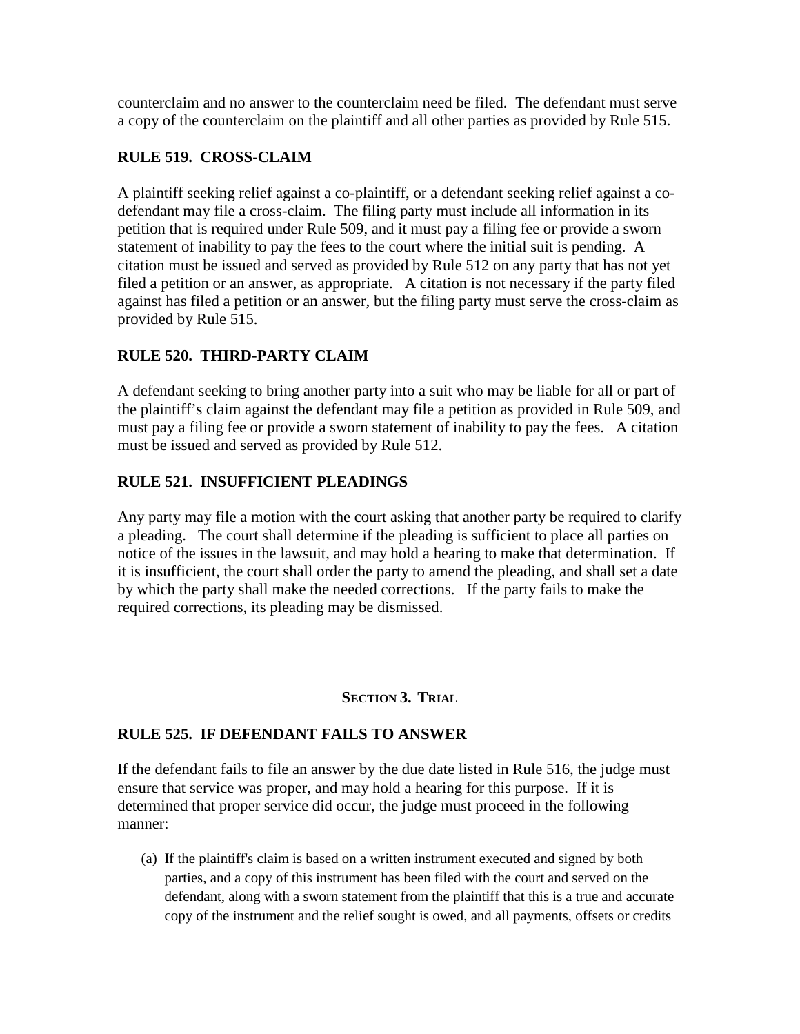counterclaim and no answer to the counterclaim need be filed. The defendant must serve a copy of the counterclaim on the plaintiff and all other parties as provided by Rule 515.

### **RULE 519. CROSS-CLAIM**

A plaintiff seeking relief against a co-plaintiff, or a defendant seeking relief against a codefendant may file a cross-claim. The filing party must include all information in its petition that is required under Rule 509, and it must pay a filing fee or provide a sworn statement of inability to pay the fees to the court where the initial suit is pending. A citation must be issued and served as provided by Rule 512 on any party that has not yet filed a petition or an answer, as appropriate. A citation is not necessary if the party filed against has filed a petition or an answer, but the filing party must serve the cross-claim as provided by Rule 515.

# **RULE 520. THIRD-PARTY CLAIM**

A defendant seeking to bring another party into a suit who may be liable for all or part of the plaintiff's claim against the defendant may file a petition as provided in Rule 509, and must pay a filing fee or provide a sworn statement of inability to pay the fees. A citation must be issued and served as provided by Rule 512.

## **RULE 521. INSUFFICIENT PLEADINGS**

Any party may file a motion with the court asking that another party be required to clarify a pleading. The court shall determine if the pleading is sufficient to place all parties on notice of the issues in the lawsuit, and may hold a hearing to make that determination. If it is insufficient, the court shall order the party to amend the pleading, and shall set a date by which the party shall make the needed corrections. If the party fails to make the required corrections, its pleading may be dismissed.

### **SECTION 3. TRIAL**

## **RULE 525. IF DEFENDANT FAILS TO ANSWER**

If the defendant fails to file an answer by the due date listed in Rule 516, the judge must ensure that service was proper, and may hold a hearing for this purpose. If it is determined that proper service did occur, the judge must proceed in the following manner:

(a) If the plaintiff's claim is based on a written instrument executed and signed by both parties, and a copy of this instrument has been filed with the court and served on the defendant, along with a sworn statement from the plaintiff that this is a true and accurate copy of the instrument and the relief sought is owed, and all payments, offsets or credits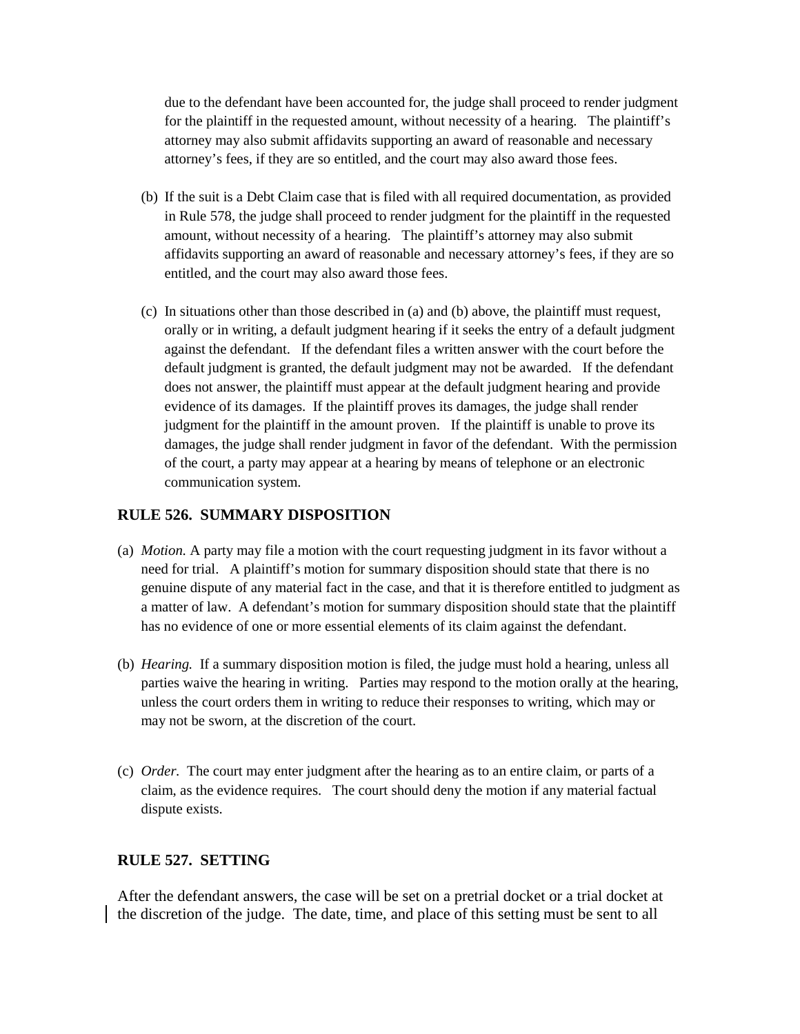due to the defendant have been accounted for, the judge shall proceed to render judgment for the plaintiff in the requested amount, without necessity of a hearing. The plaintiff's attorney may also submit affidavits supporting an award of reasonable and necessary attorney's fees, if they are so entitled, and the court may also award those fees.

- (b) If the suit is a Debt Claim case that is filed with all required documentation, as provided in Rule 578, the judge shall proceed to render judgment for the plaintiff in the requested amount, without necessity of a hearing. The plaintiff's attorney may also submit affidavits supporting an award of reasonable and necessary attorney's fees, if they are so entitled, and the court may also award those fees.
- (c) In situations other than those described in (a) and (b) above, the plaintiff must request, orally or in writing, a default judgment hearing if it seeks the entry of a default judgment against the defendant. If the defendant files a written answer with the court before the default judgment is granted, the default judgment may not be awarded. If the defendant does not answer, the plaintiff must appear at the default judgment hearing and provide evidence of its damages. If the plaintiff proves its damages, the judge shall render judgment for the plaintiff in the amount proven. If the plaintiff is unable to prove its damages, the judge shall render judgment in favor of the defendant. With the permission of the court, a party may appear at a hearing by means of telephone or an electronic communication system.

#### **RULE 526. SUMMARY DISPOSITION**

- (a) *Motion.* A party may file a motion with the court requesting judgment in its favor without a need for trial. A plaintiff's motion for summary disposition should state that there is no genuine dispute of any material fact in the case, and that it is therefore entitled to judgment as a matter of law. A defendant's motion for summary disposition should state that the plaintiff has no evidence of one or more essential elements of its claim against the defendant.
- (b) *Hearing.* If a summary disposition motion is filed, the judge must hold a hearing, unless all parties waive the hearing in writing. Parties may respond to the motion orally at the hearing, unless the court orders them in writing to reduce their responses to writing, which may or may not be sworn, at the discretion of the court.
- (c) *Order.* The court may enter judgment after the hearing as to an entire claim, or parts of a claim, as the evidence requires. The court should deny the motion if any material factual dispute exists.

#### **RULE 527. SETTING**

After the defendant answers, the case will be set on a pretrial docket or a trial docket at the discretion of the judge. The date, time, and place of this setting must be sent to all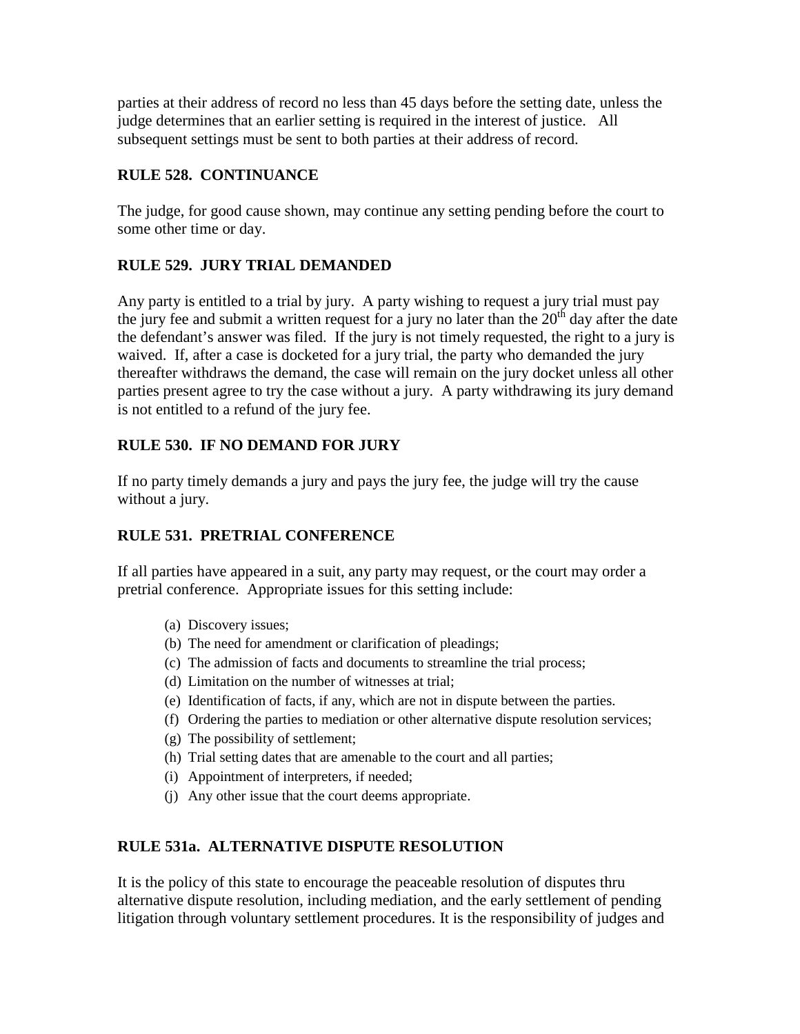parties at their address of record no less than 45 days before the setting date, unless the judge determines that an earlier setting is required in the interest of justice. All subsequent settings must be sent to both parties at their address of record.

### **RULE 528. CONTINUANCE**

The judge, for good cause shown, may continue any setting pending before the court to some other time or day.

## **RULE 529. JURY TRIAL DEMANDED**

Any party is entitled to a trial by jury. A party wishing to request a jury trial must pay the jury fee and submit a written request for a jury no later than the  $20<sup>th</sup>$  day after the date the defendant's answer was filed. If the jury is not timely requested, the right to a jury is waived. If, after a case is docketed for a jury trial, the party who demanded the jury thereafter withdraws the demand, the case will remain on the jury docket unless all other parties present agree to try the case without a jury. A party withdrawing its jury demand is not entitled to a refund of the jury fee.

## **RULE 530. IF NO DEMAND FOR JURY**

If no party timely demands a jury and pays the jury fee, the judge will try the cause without a jury.

## **RULE 531. PRETRIAL CONFERENCE**

If all parties have appeared in a suit, any party may request, or the court may order a pretrial conference. Appropriate issues for this setting include:

- (a) Discovery issues;
- (b) The need for amendment or clarification of pleadings;
- (c) The admission of facts and documents to streamline the trial process;
- (d) Limitation on the number of witnesses at trial;
- (e) Identification of facts, if any, which are not in dispute between the parties.
- (f) Ordering the parties to mediation or other alternative dispute resolution services;
- (g) The possibility of settlement;
- (h) Trial setting dates that are amenable to the court and all parties;
- (i) Appointment of interpreters, if needed;
- (j) Any other issue that the court deems appropriate.

## **RULE 531a. ALTERNATIVE DISPUTE RESOLUTION**

It is the policy of this state to encourage the peaceable resolution of disputes thru alternative dispute resolution, including mediation, and the early settlement of pending litigation through voluntary settlement procedures. It is the responsibility of judges and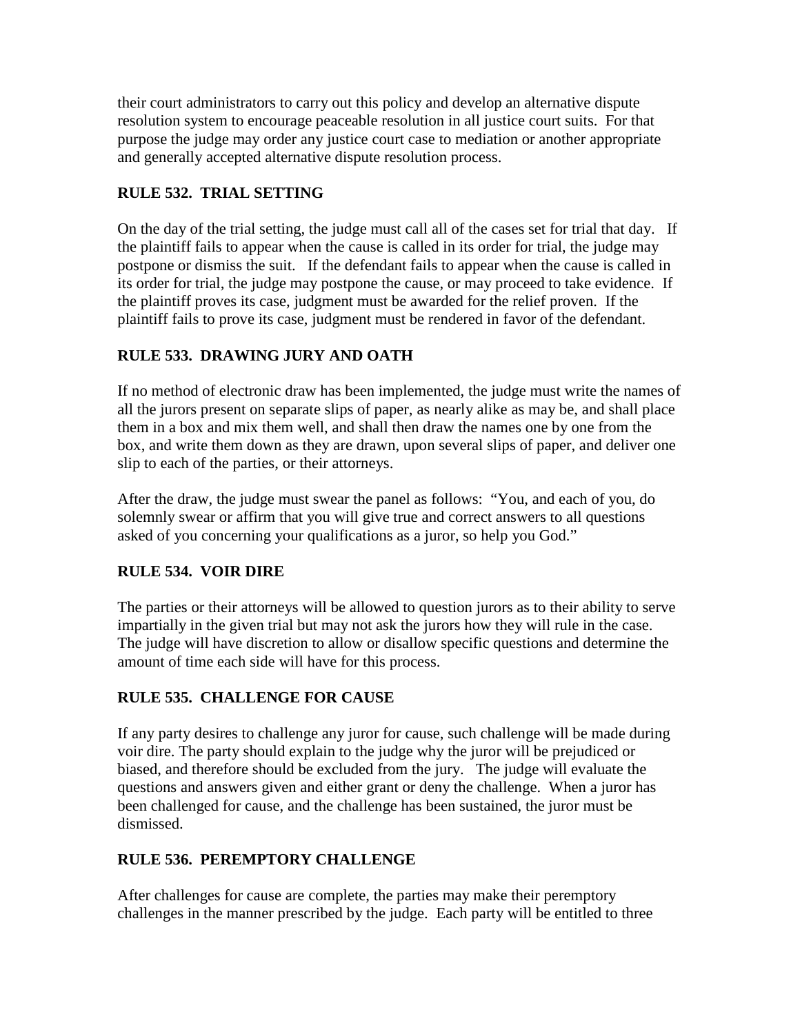their court administrators to carry out this policy and develop an alternative dispute resolution system to encourage peaceable resolution in all justice court suits. For that purpose the judge may order any justice court case to mediation or another appropriate and generally accepted alternative dispute resolution process.

# **RULE 532. TRIAL SETTING**

On the day of the trial setting, the judge must call all of the cases set for trial that day. If the plaintiff fails to appear when the cause is called in its order for trial, the judge may postpone or dismiss the suit. If the defendant fails to appear when the cause is called in its order for trial, the judge may postpone the cause, or may proceed to take evidence. If the plaintiff proves its case, judgment must be awarded for the relief proven. If the plaintiff fails to prove its case, judgment must be rendered in favor of the defendant.

# **RULE 533. DRAWING JURY AND OATH**

If no method of electronic draw has been implemented, the judge must write the names of all the jurors present on separate slips of paper, as nearly alike as may be, and shall place them in a box and mix them well, and shall then draw the names one by one from the box, and write them down as they are drawn, upon several slips of paper, and deliver one slip to each of the parties, or their attorneys.

After the draw, the judge must swear the panel as follows: "You, and each of you, do solemnly swear or affirm that you will give true and correct answers to all questions asked of you concerning your qualifications as a juror, so help you God."

## **RULE 534. VOIR DIRE**

The parties or their attorneys will be allowed to question jurors as to their ability to serve impartially in the given trial but may not ask the jurors how they will rule in the case. The judge will have discretion to allow or disallow specific questions and determine the amount of time each side will have for this process.

## **RULE 535. CHALLENGE FOR CAUSE**

If any party desires to challenge any juror for cause, such challenge will be made during voir dire. The party should explain to the judge why the juror will be prejudiced or biased, and therefore should be excluded from the jury. The judge will evaluate the questions and answers given and either grant or deny the challenge. When a juror has been challenged for cause, and the challenge has been sustained, the juror must be dismissed.

## **RULE 536. PEREMPTORY CHALLENGE**

After challenges for cause are complete, the parties may make their peremptory challenges in the manner prescribed by the judge. Each party will be entitled to three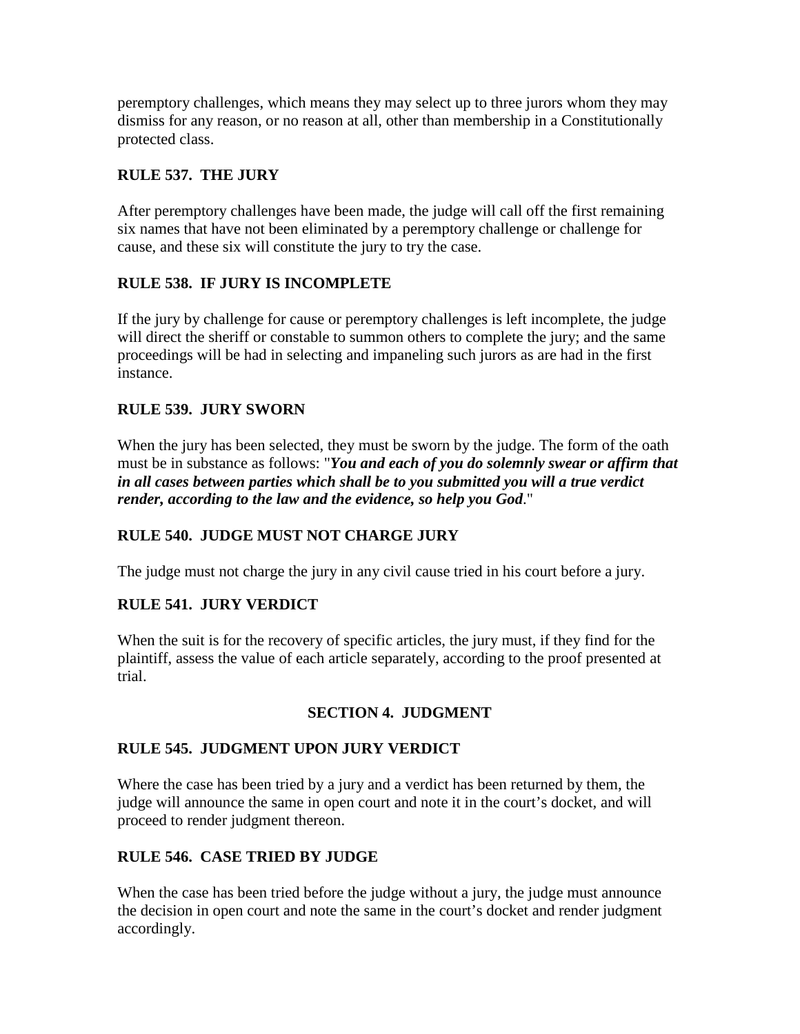peremptory challenges, which means they may select up to three jurors whom they may dismiss for any reason, or no reason at all, other than membership in a Constitutionally protected class.

### **RULE 537. THE JURY**

After peremptory challenges have been made, the judge will call off the first remaining six names that have not been eliminated by a peremptory challenge or challenge for cause, and these six will constitute the jury to try the case.

## **RULE 538. IF JURY IS INCOMPLETE**

If the jury by challenge for cause or peremptory challenges is left incomplete, the judge will direct the sheriff or constable to summon others to complete the jury; and the same proceedings will be had in selecting and impaneling such jurors as are had in the first instance.

## **RULE 539. JURY SWORN**

When the jury has been selected, they must be sworn by the judge. The form of the oath must be in substance as follows: "*You and each of you do solemnly swear or affirm that in all cases between parties which shall be to you submitted you will a true verdict render, according to the law and the evidence, so help you God*."

## **RULE 540. JUDGE MUST NOT CHARGE JURY**

The judge must not charge the jury in any civil cause tried in his court before a jury.

### **RULE 541. JURY VERDICT**

When the suit is for the recovery of specific articles, the jury must, if they find for the plaintiff, assess the value of each article separately, according to the proof presented at trial.

## **SECTION 4. JUDGMENT**

### **RULE 545. JUDGMENT UPON JURY VERDICT**

Where the case has been tried by a jury and a verdict has been returned by them, the judge will announce the same in open court and note it in the court's docket, and will proceed to render judgment thereon.

### **RULE 546. CASE TRIED BY JUDGE**

When the case has been tried before the judge without a jury, the judge must announce the decision in open court and note the same in the court's docket and render judgment accordingly.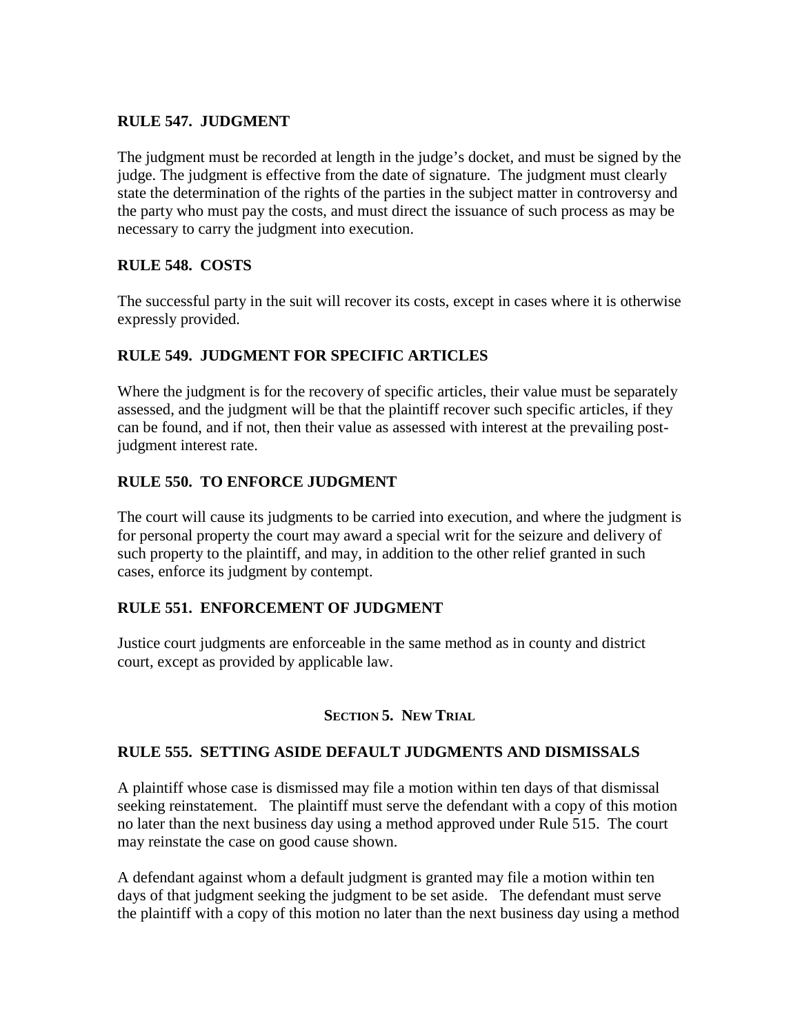### **RULE 547. JUDGMENT**

The judgment must be recorded at length in the judge's docket, and must be signed by the judge. The judgment is effective from the date of signature. The judgment must clearly state the determination of the rights of the parties in the subject matter in controversy and the party who must pay the costs, and must direct the issuance of such process as may be necessary to carry the judgment into execution.

#### **RULE 548. COSTS**

The successful party in the suit will recover its costs, except in cases where it is otherwise expressly provided.

### **RULE 549. JUDGMENT FOR SPECIFIC ARTICLES**

Where the judgment is for the recovery of specific articles, their value must be separately assessed, and the judgment will be that the plaintiff recover such specific articles, if they can be found, and if not, then their value as assessed with interest at the prevailing postjudgment interest rate.

### **RULE 550. TO ENFORCE JUDGMENT**

The court will cause its judgments to be carried into execution, and where the judgment is for personal property the court may award a special writ for the seizure and delivery of such property to the plaintiff, and may, in addition to the other relief granted in such cases, enforce its judgment by contempt.

#### **RULE 551. ENFORCEMENT OF JUDGMENT**

Justice court judgments are enforceable in the same method as in county and district court, except as provided by applicable law.

### **SECTION 5. NEW TRIAL**

### **RULE 555. SETTING ASIDE DEFAULT JUDGMENTS AND DISMISSALS**

A plaintiff whose case is dismissed may file a motion within ten days of that dismissal seeking reinstatement. The plaintiff must serve the defendant with a copy of this motion no later than the next business day using a method approved under Rule 515. The court may reinstate the case on good cause shown.

A defendant against whom a default judgment is granted may file a motion within ten days of that judgment seeking the judgment to be set aside. The defendant must serve the plaintiff with a copy of this motion no later than the next business day using a method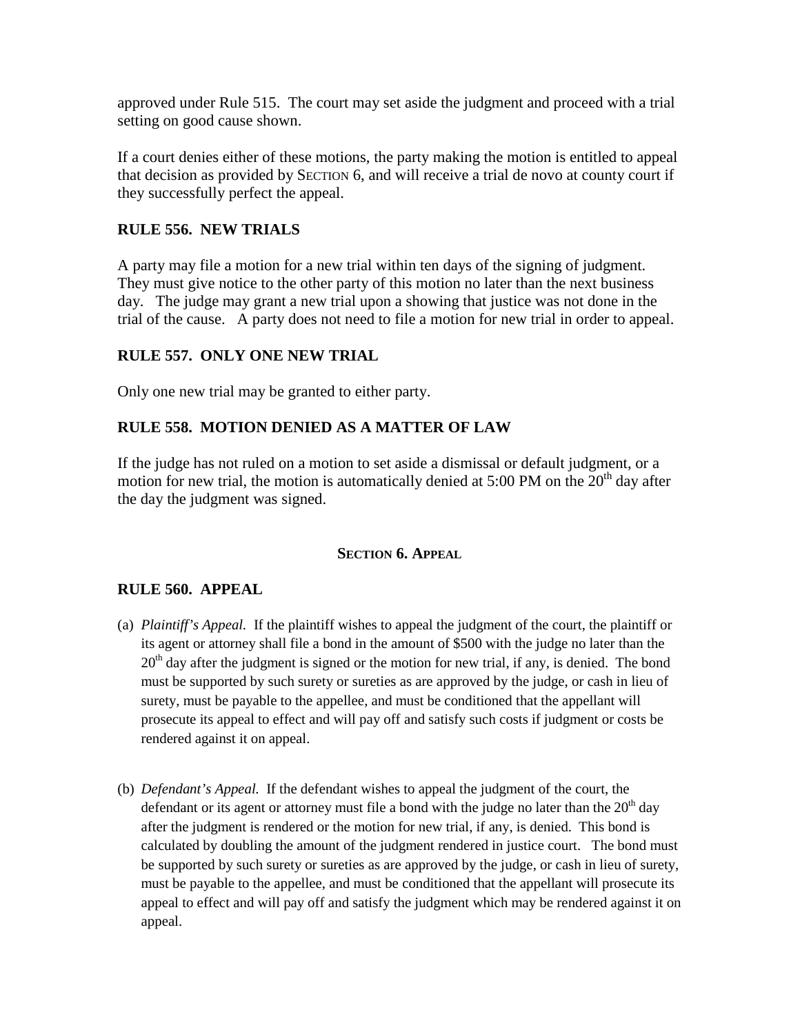approved under Rule 515. The court may set aside the judgment and proceed with a trial setting on good cause shown.

If a court denies either of these motions, the party making the motion is entitled to appeal that decision as provided by SECTION 6, and will receive a trial de novo at county court if they successfully perfect the appeal.

### **RULE 556. NEW TRIALS**

A party may file a motion for a new trial within ten days of the signing of judgment. They must give notice to the other party of this motion no later than the next business day. The judge may grant a new trial upon a showing that justice was not done in the trial of the cause. A party does not need to file a motion for new trial in order to appeal.

#### **RULE 557. ONLY ONE NEW TRIAL**

Only one new trial may be granted to either party.

### **RULE 558. MOTION DENIED AS A MATTER OF LAW**

If the judge has not ruled on a motion to set aside a dismissal or default judgment, or a motion for new trial, the motion is automatically denied at 5:00 PM on the  $20<sup>th</sup>$  day after the day the judgment was signed.

### **SECTION 6. APPEAL**

### **RULE 560. APPEAL**

- (a) *Plaintiff's Appeal.* If the plaintiff wishes to appeal the judgment of the court, the plaintiff or its agent or attorney shall file a bond in the amount of \$500 with the judge no later than the  $20<sup>th</sup>$  day after the judgment is signed or the motion for new trial, if any, is denied. The bond must be supported by such surety or sureties as are approved by the judge, or cash in lieu of surety, must be payable to the appellee, and must be conditioned that the appellant will prosecute its appeal to effect and will pay off and satisfy such costs if judgment or costs be rendered against it on appeal.
- (b) *Defendant's Appeal.* If the defendant wishes to appeal the judgment of the court, the defendant or its agent or attorney must file a bond with the judge no later than the  $20<sup>th</sup>$  day after the judgment is rendered or the motion for new trial, if any, is denied. This bond is calculated by doubling the amount of the judgment rendered in justice court. The bond must be supported by such surety or sureties as are approved by the judge, or cash in lieu of surety, must be payable to the appellee, and must be conditioned that the appellant will prosecute its appeal to effect and will pay off and satisfy the judgment which may be rendered against it on appeal.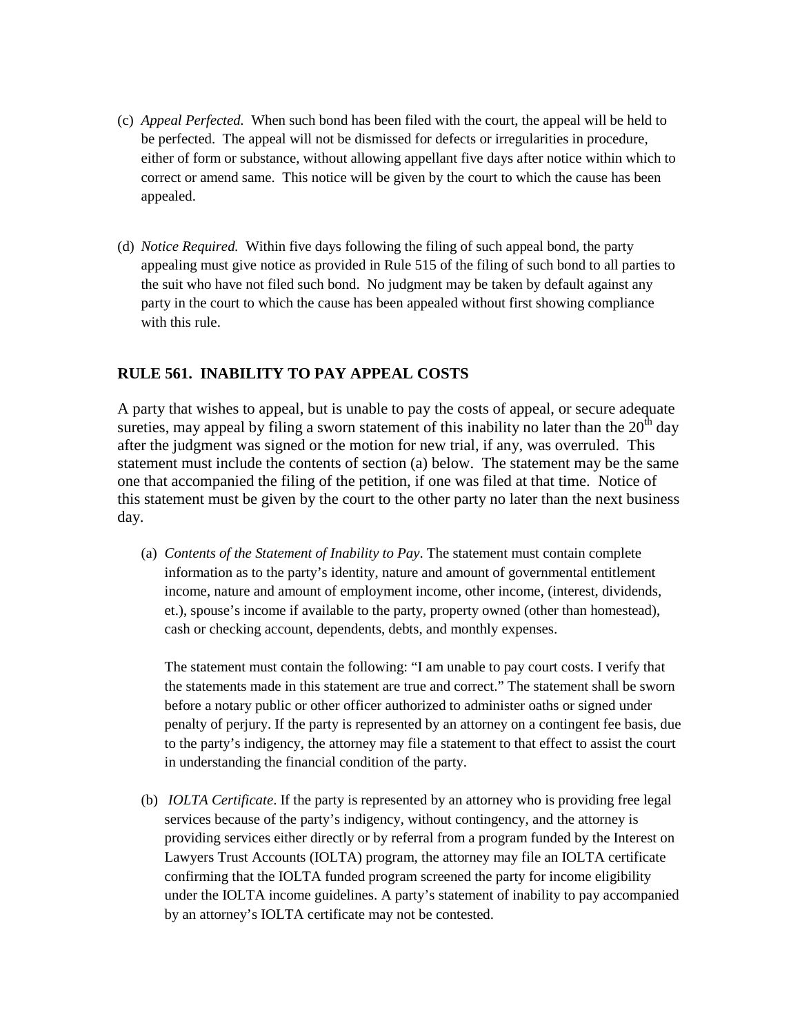- (c) *Appeal Perfected.* When such bond has been filed with the court, the appeal will be held to be perfected. The appeal will not be dismissed for defects or irregularities in procedure, either of form or substance, without allowing appellant five days after notice within which to correct or amend same. This notice will be given by the court to which the cause has been appealed.
- (d) *Notice Required.* Within five days following the filing of such appeal bond, the party appealing must give notice as provided in Rule 515 of the filing of such bond to all parties to the suit who have not filed such bond. No judgment may be taken by default against any party in the court to which the cause has been appealed without first showing compliance with this rule.

### **RULE 561. INABILITY TO PAY APPEAL COSTS**

A party that wishes to appeal, but is unable to pay the costs of appeal, or secure adequate sureties, may appeal by filing a sworn statement of this inability no later than the  $20<sup>th</sup>$  day after the judgment was signed or the motion for new trial, if any, was overruled. This statement must include the contents of section (a) below. The statement may be the same one that accompanied the filing of the petition, if one was filed at that time. Notice of this statement must be given by the court to the other party no later than the next business day.

(a) *Contents of the Statement of Inability to Pay*. The statement must contain complete information as to the party's identity, nature and amount of governmental entitlement income, nature and amount of employment income, other income, (interest, dividends, et.), spouse's income if available to the party, property owned (other than homestead), cash or checking account, dependents, debts, and monthly expenses.

The statement must contain the following: "I am unable to pay court costs. I verify that the statements made in this statement are true and correct." The statement shall be sworn before a notary public or other officer authorized to administer oaths or signed under penalty of perjury. If the party is represented by an attorney on a contingent fee basis, due to the party's indigency, the attorney may file a statement to that effect to assist the court in understanding the financial condition of the party.

(b) *IOLTA Certificate*. If the party is represented by an attorney who is providing free legal services because of the party's indigency, without contingency, and the attorney is providing services either directly or by referral from a program funded by the Interest on Lawyers Trust Accounts (IOLTA) program, the attorney may file an IOLTA certificate confirming that the IOLTA funded program screened the party for income eligibility under the IOLTA income guidelines. A party's statement of inability to pay accompanied by an attorney's IOLTA certificate may not be contested.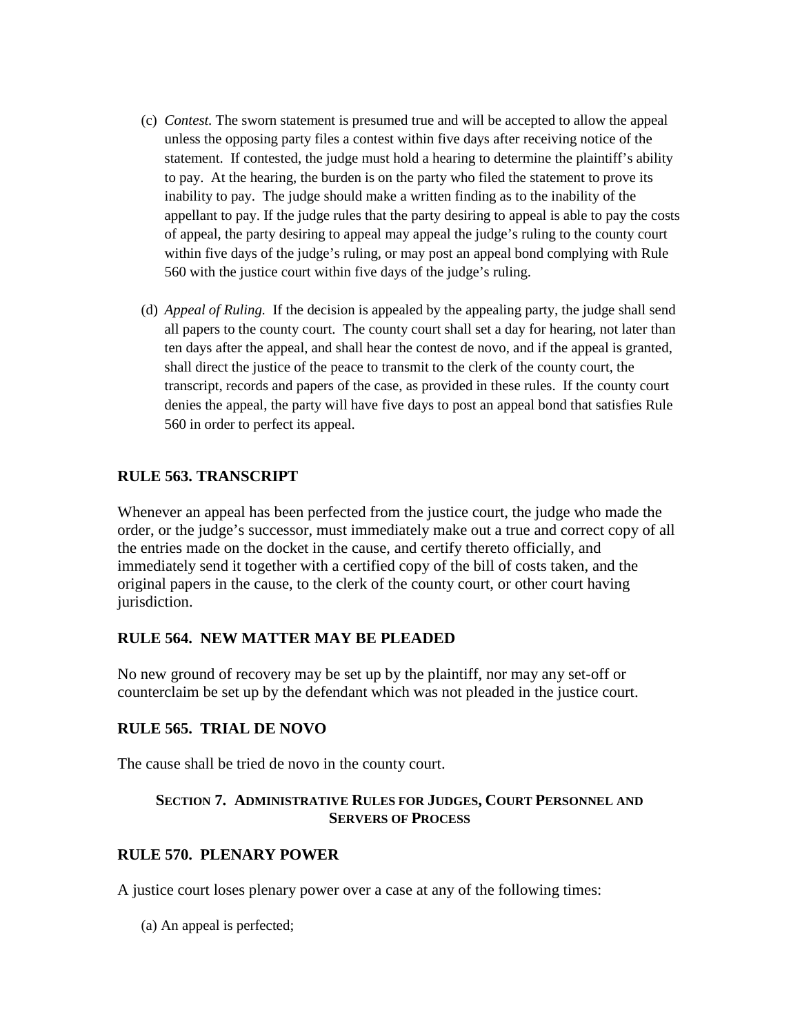- (c) *Contest.* The sworn statement is presumed true and will be accepted to allow the appeal unless the opposing party files a contest within five days after receiving notice of the statement. If contested, the judge must hold a hearing to determine the plaintiff's ability to pay. At the hearing, the burden is on the party who filed the statement to prove its inability to pay. The judge should make a written finding as to the inability of the appellant to pay. If the judge rules that the party desiring to appeal is able to pay the costs of appeal, the party desiring to appeal may appeal the judge's ruling to the county court within five days of the judge's ruling, or may post an appeal bond complying with Rule 560 with the justice court within five days of the judge's ruling.
- (d) *Appeal of Ruling.* If the decision is appealed by the appealing party, the judge shall send all papers to the county court. The county court shall set a day for hearing, not later than ten days after the appeal, and shall hear the contest de novo, and if the appeal is granted, shall direct the justice of the peace to transmit to the clerk of the county court, the transcript, records and papers of the case, as provided in these rules. If the county court denies the appeal, the party will have five days to post an appeal bond that satisfies Rule 560 in order to perfect its appeal.

### **RULE 563. TRANSCRIPT**

Whenever an appeal has been perfected from the justice court, the judge who made the order, or the judge's successor, must immediately make out a true and correct copy of all the entries made on the docket in the cause, and certify thereto officially, and immediately send it together with a certified copy of the bill of costs taken, and the original papers in the cause, to the clerk of the county court, or other court having jurisdiction.

#### **RULE 564. NEW MATTER MAY BE PLEADED**

No new ground of recovery may be set up by the plaintiff, nor may any set-off or counterclaim be set up by the defendant which was not pleaded in the justice court.

#### **RULE 565. TRIAL DE NOVO**

The cause shall be tried de novo in the county court.

#### **SECTION 7. ADMINISTRATIVE RULES FOR JUDGES, COURT PERSONNEL AND SERVERS OF PROCESS**

#### **RULE 570. PLENARY POWER**

A justice court loses plenary power over a case at any of the following times:

(a) An appeal is perfected;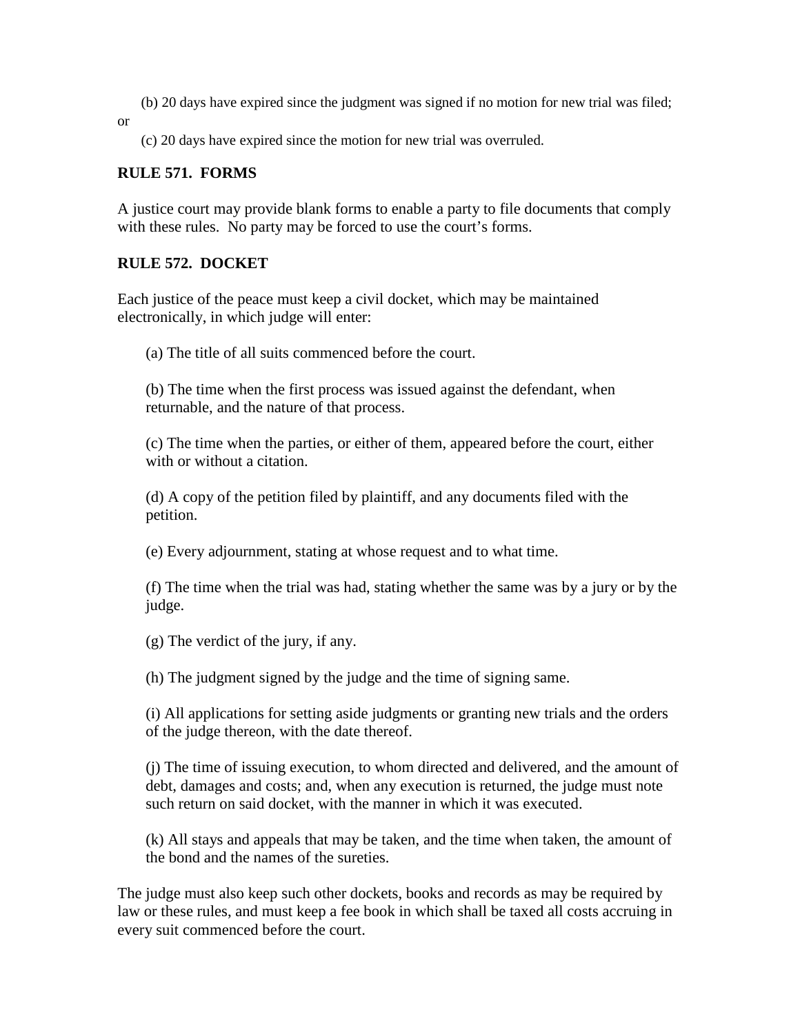(b) 20 days have expired since the judgment was signed if no motion for new trial was filed;

or

(c) 20 days have expired since the motion for new trial was overruled.

#### **RULE 571. FORMS**

A justice court may provide blank forms to enable a party to file documents that comply with these rules. No party may be forced to use the court's forms.

#### **RULE 572. DOCKET**

Each justice of the peace must keep a civil docket, which may be maintained electronically, in which judge will enter:

(a) The title of all suits commenced before the court.

(b) The time when the first process was issued against the defendant, when returnable, and the nature of that process.

(c) The time when the parties, or either of them, appeared before the court, either with or without a citation.

(d) A copy of the petition filed by plaintiff, and any documents filed with the petition.

(e) Every adjournment, stating at whose request and to what time.

(f) The time when the trial was had, stating whether the same was by a jury or by the judge.

(g) The verdict of the jury, if any.

(h) The judgment signed by the judge and the time of signing same.

(i) All applications for setting aside judgments or granting new trials and the orders of the judge thereon, with the date thereof.

(j) The time of issuing execution, to whom directed and delivered, and the amount of debt, damages and costs; and, when any execution is returned, the judge must note such return on said docket, with the manner in which it was executed.

(k) All stays and appeals that may be taken, and the time when taken, the amount of the bond and the names of the sureties.

The judge must also keep such other dockets, books and records as may be required by law or these rules, and must keep a fee book in which shall be taxed all costs accruing in every suit commenced before the court.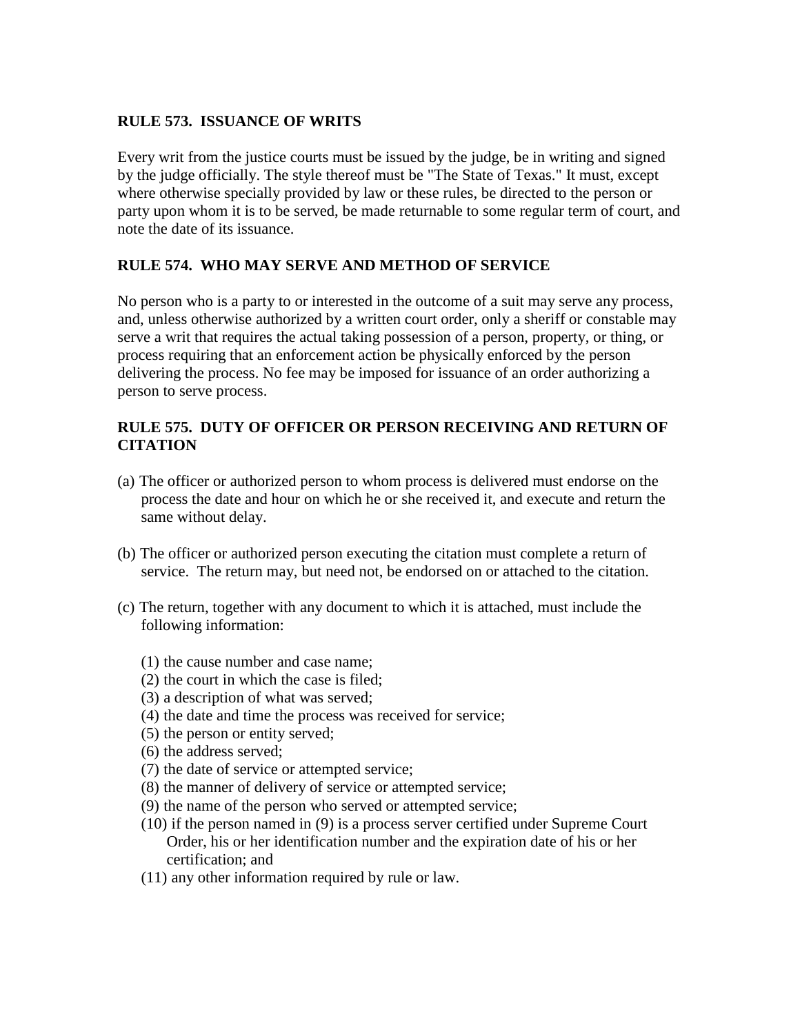#### **RULE 573. ISSUANCE OF WRITS**

Every writ from the justice courts must be issued by the judge, be in writing and signed by the judge officially. The style thereof must be "The State of Texas." It must, except where otherwise specially provided by law or these rules, be directed to the person or party upon whom it is to be served, be made returnable to some regular term of court, and note the date of its issuance.

### **RULE 574. WHO MAY SERVE AND METHOD OF SERVICE**

No person who is a party to or interested in the outcome of a suit may serve any process, and, unless otherwise authorized by a written court order, only a sheriff or constable may serve a writ that requires the actual taking possession of a person, property, or thing, or process requiring that an enforcement action be physically enforced by the person delivering the process. No fee may be imposed for issuance of an order authorizing a person to serve process.

#### **RULE 575. DUTY OF OFFICER OR PERSON RECEIVING AND RETURN OF CITATION**

- (a) The officer or authorized person to whom process is delivered must endorse on the process the date and hour on which he or she received it, and execute and return the same without delay.
- (b) The officer or authorized person executing the citation must complete a return of service. The return may, but need not, be endorsed on or attached to the citation.
- (c) The return, together with any document to which it is attached, must include the following information:
	- (1) the cause number and case name;
	- (2) the court in which the case is filed;
	- (3) a description of what was served;
	- (4) the date and time the process was received for service;
	- (5) the person or entity served;
	- (6) the address served;
	- (7) the date of service or attempted service;
	- (8) the manner of delivery of service or attempted service;
	- (9) the name of the person who served or attempted service;
	- (10) if the person named in (9) is a process server certified under Supreme Court Order, his or her identification number and the expiration date of his or her certification; and
	- (11) any other information required by rule or law.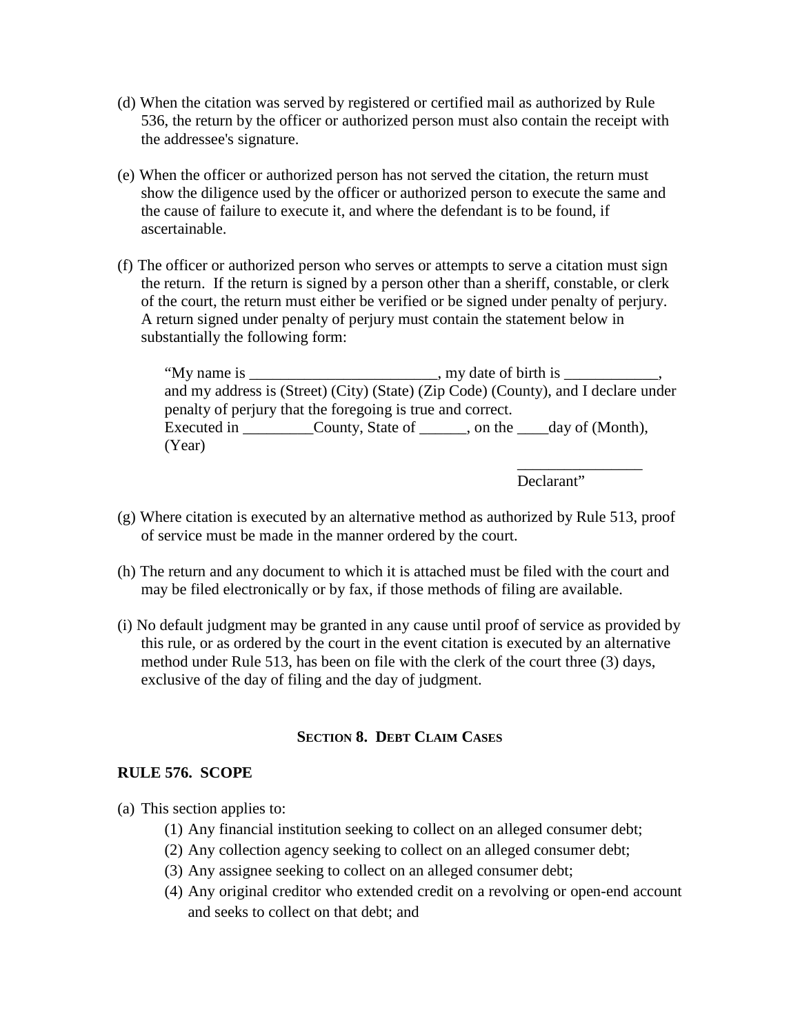- (d) When the citation was served by registered or certified mail as authorized by Rule 536, the return by the officer or authorized person must also contain the receipt with the addressee's signature.
- (e) When the officer or authorized person has not served the citation, the return must show the diligence used by the officer or authorized person to execute the same and the cause of failure to execute it, and where the defendant is to be found, if ascertainable.
- (f) The officer or authorized person who serves or attempts to serve a citation must sign the return. If the return is signed by a person other than a sheriff, constable, or clerk of the court, the return must either be verified or be signed under penalty of perjury. A return signed under penalty of perjury must contain the statement below in substantially the following form:

"My name is \_\_\_\_\_\_\_\_\_\_\_\_\_\_\_\_\_\_\_\_, my date of birth is \_\_\_\_\_\_\_\_\_\_, and my address is (Street) (City) (State) (Zip Code) (County), and I declare under penalty of perjury that the foregoing is true and correct. Executed in \_\_\_\_\_\_\_\_\_\_\_County, State of \_\_\_\_\_\_, on the \_\_\_\_day of (Month), (Year) \_\_\_\_\_\_\_\_\_\_\_\_\_\_\_\_

Declarant"

- (g) Where citation is executed by an alternative method as authorized by Rule 513, proof of service must be made in the manner ordered by the court.
- (h) The return and any document to which it is attached must be filed with the court and may be filed electronically or by fax, if those methods of filing are available.
- (i) No default judgment may be granted in any cause until proof of service as provided by this rule, or as ordered by the court in the event citation is executed by an alternative method under Rule 513, has been on file with the clerk of the court three (3) days, exclusive of the day of filing and the day of judgment.

#### **SECTION 8. DEBT CLAIM CASES**

#### **RULE 576. SCOPE**

- (a) This section applies to:
	- (1) Any financial institution seeking to collect on an alleged consumer debt;
	- (2) Any collection agency seeking to collect on an alleged consumer debt;
	- (3) Any assignee seeking to collect on an alleged consumer debt;
	- (4) Any original creditor who extended credit on a revolving or open-end account and seeks to collect on that debt; and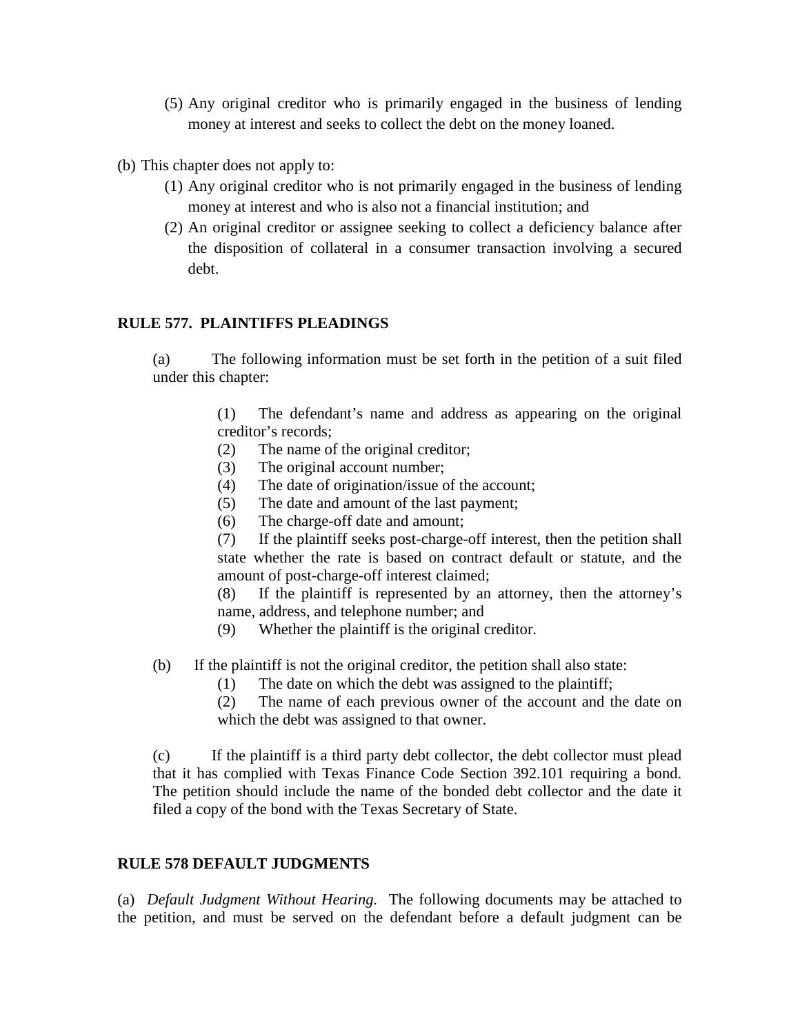- (5) Any original creditor who is primarily engaged in the business of lending money at interest and seeks to collect the debt on the money loaned.
- (b) This chapter does not apply to:
	- (1) Any original creditor who is not primarily engaged in the business of lending money at interest and who is also not a financial institution; and
	- (2) An original creditor or assignee seeking to collect a deficiency balance after the disposition of collateral in a consumer transaction involving a secured debt.

#### **RULE 577. PLAINTIFFS PLEADINGS**

(a) The following information must be set forth in the petition of a suit filed under this chapter:

> (1) The defendant's name and address as appearing on the original creditor's records;

- (2) The name of the original creditor;
- (3) The original account number;
- (4) The date of origination/issue of the account;
- (5) The date and amount of the last payment;
- (6) The charge-off date and amount;

(7) If the plaintiff seeks post-charge-off interest, then the petition shall state whether the rate is based on contract default or statute, and the amount of post-charge-off interest claimed;

(8) If the plaintiff is represented by an attorney, then the attorney's name, address, and telephone number; and

- (9) Whether the plaintiff is the original creditor.
- (b) If the plaintiff is not the original creditor, the petition shall also state:
	- (1) The date on which the debt was assigned to the plaintiff;

(2) The name of each previous owner of the account and the date on which the debt was assigned to that owner.

(c) If the plaintiff is a third party debt collector, the debt collector must plead that it has complied with Texas Finance Code Section 392.101 requiring a bond. The petition should include the name of the bonded debt collector and the date it filed a copy of the bond with the Texas Secretary of State.

#### **RULE 578 DEFAULT JUDGMENTS**

(a) *Default Judgment Without Hearing.* The following documents may be attached to the petition, and must be served on the defendant before a default judgment can be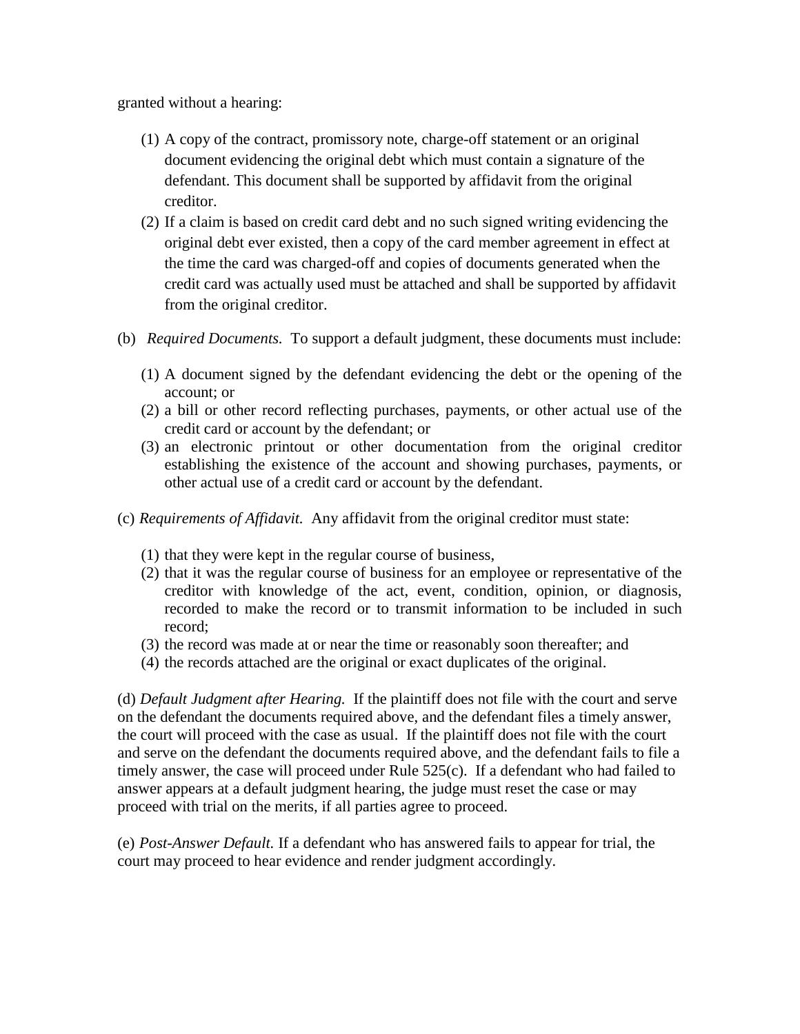granted without a hearing:

- (1) A copy of the contract, promissory note, charge-off statement or an original document evidencing the original debt which must contain a signature of the defendant. This document shall be supported by affidavit from the original creditor.
- (2) If a claim is based on credit card debt and no such signed writing evidencing the original debt ever existed, then a copy of the card member agreement in effect at the time the card was charged-off and copies of documents generated when the credit card was actually used must be attached and shall be supported by affidavit from the original creditor.
- (b) *Required Documents.* To support a default judgment, these documents must include:
	- (1) A document signed by the defendant evidencing the debt or the opening of the account; or
	- (2) a bill or other record reflecting purchases, payments, or other actual use of the credit card or account by the defendant; or
	- (3) an electronic printout or other documentation from the original creditor establishing the existence of the account and showing purchases, payments, or other actual use of a credit card or account by the defendant.
- (c) *Requirements of Affidavit.* Any affidavit from the original creditor must state:
	- (1) that they were kept in the regular course of business,
	- (2) that it was the regular course of business for an employee or representative of the creditor with knowledge of the act, event, condition, opinion, or diagnosis, recorded to make the record or to transmit information to be included in such record;
	- (3) the record was made at or near the time or reasonably soon thereafter; and
	- (4) the records attached are the original or exact duplicates of the original.

(d) *Default Judgment after Hearing.* If the plaintiff does not file with the court and serve on the defendant the documents required above, and the defendant files a timely answer, the court will proceed with the case as usual. If the plaintiff does not file with the court and serve on the defendant the documents required above, and the defendant fails to file a timely answer, the case will proceed under Rule 525(c). If a defendant who had failed to answer appears at a default judgment hearing, the judge must reset the case or may proceed with trial on the merits, if all parties agree to proceed.

(e) *Post-Answer Default.* If a defendant who has answered fails to appear for trial, the court may proceed to hear evidence and render judgment accordingly.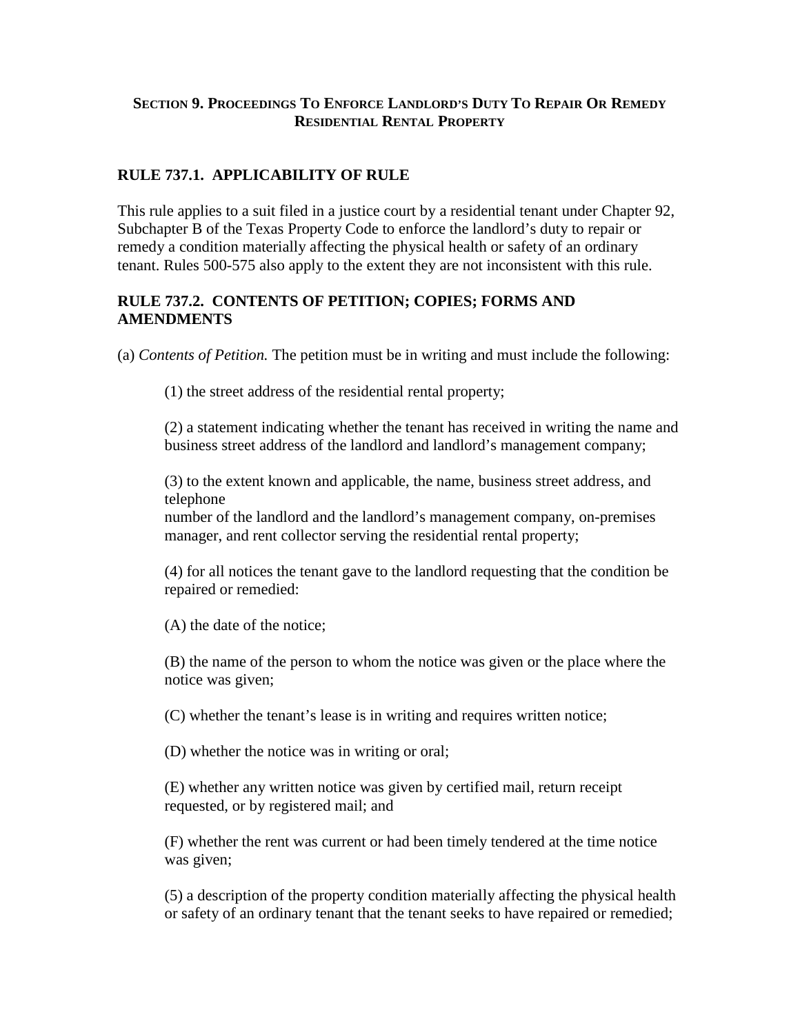#### **SECTION 9. PROCEEDINGS TO ENFORCE LANDLORD'S DUTY TO REPAIR OR REMEDY RESIDENTIAL RENTAL PROPERTY**

#### **RULE 737.1. APPLICABILITY OF RULE**

This rule applies to a suit filed in a justice court by a residential tenant under Chapter 92, Subchapter B of the Texas Property Code to enforce the landlord's duty to repair or remedy a condition materially affecting the physical health or safety of an ordinary tenant. Rules 500-575 also apply to the extent they are not inconsistent with this rule.

#### **RULE 737.2. CONTENTS OF PETITION; COPIES; FORMS AND AMENDMENTS**

(a) *Contents of Petition.* The petition must be in writing and must include the following:

(1) the street address of the residential rental property;

(2) a statement indicating whether the tenant has received in writing the name and business street address of the landlord and landlord's management company;

(3) to the extent known and applicable, the name, business street address, and telephone

number of the landlord and the landlord's management company, on-premises manager, and rent collector serving the residential rental property;

(4) for all notices the tenant gave to the landlord requesting that the condition be repaired or remedied:

(A) the date of the notice;

(B) the name of the person to whom the notice was given or the place where the notice was given;

(C) whether the tenant's lease is in writing and requires written notice;

(D) whether the notice was in writing or oral;

(E) whether any written notice was given by certified mail, return receipt requested, or by registered mail; and

(F) whether the rent was current or had been timely tendered at the time notice was given;

(5) a description of the property condition materially affecting the physical health or safety of an ordinary tenant that the tenant seeks to have repaired or remedied;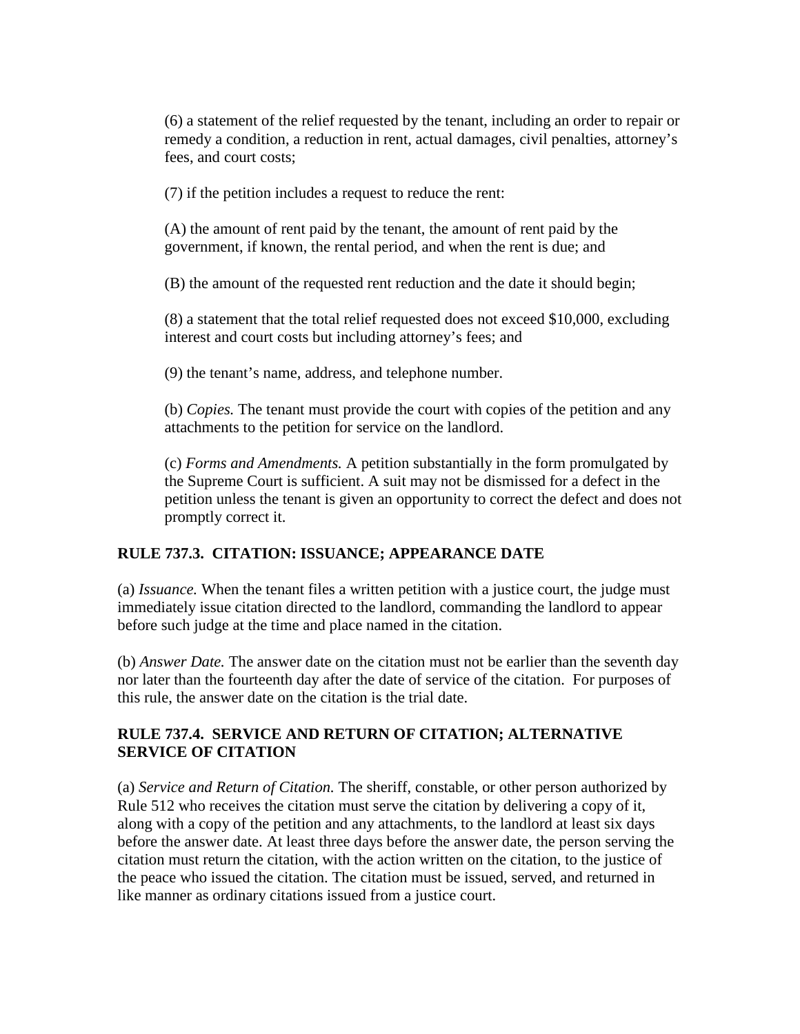(6) a statement of the relief requested by the tenant, including an order to repair or remedy a condition, a reduction in rent, actual damages, civil penalties, attorney's fees, and court costs;

(7) if the petition includes a request to reduce the rent:

(A) the amount of rent paid by the tenant, the amount of rent paid by the government, if known, the rental period, and when the rent is due; and

(B) the amount of the requested rent reduction and the date it should begin;

(8) a statement that the total relief requested does not exceed \$10,000, excluding interest and court costs but including attorney's fees; and

(9) the tenant's name, address, and telephone number.

(b) *Copies.* The tenant must provide the court with copies of the petition and any attachments to the petition for service on the landlord.

(c) *Forms and Amendments.* A petition substantially in the form promulgated by the Supreme Court is sufficient. A suit may not be dismissed for a defect in the petition unless the tenant is given an opportunity to correct the defect and does not promptly correct it.

### **RULE 737.3. CITATION: ISSUANCE; APPEARANCE DATE**

(a) *Issuance.* When the tenant files a written petition with a justice court, the judge must immediately issue citation directed to the landlord, commanding the landlord to appear before such judge at the time and place named in the citation.

(b) *Answer Date.* The answer date on the citation must not be earlier than the seventh day nor later than the fourteenth day after the date of service of the citation. For purposes of this rule, the answer date on the citation is the trial date.

#### **RULE 737.4. SERVICE AND RETURN OF CITATION; ALTERNATIVE SERVICE OF CITATION**

(a) *Service and Return of Citation.* The sheriff, constable, or other person authorized by Rule 512 who receives the citation must serve the citation by delivering a copy of it, along with a copy of the petition and any attachments, to the landlord at least six days before the answer date. At least three days before the answer date, the person serving the citation must return the citation, with the action written on the citation, to the justice of the peace who issued the citation. The citation must be issued, served, and returned in like manner as ordinary citations issued from a justice court.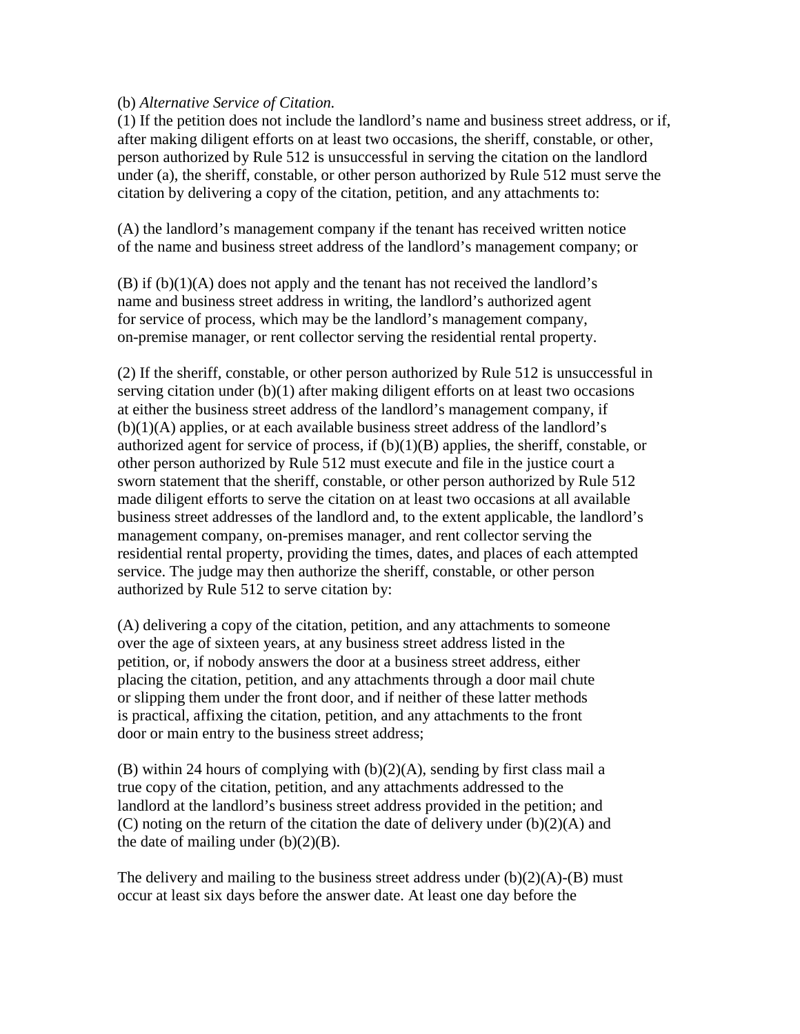#### (b) *Alternative Service of Citation.*

(1) If the petition does not include the landlord's name and business street address, or if, after making diligent efforts on at least two occasions, the sheriff, constable, or other, person authorized by Rule 512 is unsuccessful in serving the citation on the landlord under (a), the sheriff, constable, or other person authorized by Rule 512 must serve the citation by delivering a copy of the citation, petition, and any attachments to:

(A) the landlord's management company if the tenant has received written notice of the name and business street address of the landlord's management company; or

 $(B)$  if  $(b)(1)(A)$  does not apply and the tenant has not received the landlord's name and business street address in writing, the landlord's authorized agent for service of process, which may be the landlord's management company, on-premise manager, or rent collector serving the residential rental property.

(2) If the sheriff, constable, or other person authorized by Rule 512 is unsuccessful in serving citation under  $(b)(1)$  after making diligent efforts on at least two occasions at either the business street address of the landlord's management company, if  $(b)(1)(A)$  applies, or at each available business street address of the landlord's authorized agent for service of process, if  $(b)(1)(B)$  applies, the sheriff, constable, or other person authorized by Rule 512 must execute and file in the justice court a sworn statement that the sheriff, constable, or other person authorized by Rule 512 made diligent efforts to serve the citation on at least two occasions at all available business street addresses of the landlord and, to the extent applicable, the landlord's management company, on-premises manager, and rent collector serving the residential rental property, providing the times, dates, and places of each attempted service. The judge may then authorize the sheriff, constable, or other person authorized by Rule 512 to serve citation by:

(A) delivering a copy of the citation, petition, and any attachments to someone over the age of sixteen years, at any business street address listed in the petition, or, if nobody answers the door at a business street address, either placing the citation, petition, and any attachments through a door mail chute or slipping them under the front door, and if neither of these latter methods is practical, affixing the citation, petition, and any attachments to the front door or main entry to the business street address;

(B) within 24 hours of complying with  $(b)(2)(A)$ , sending by first class mail a true copy of the citation, petition, and any attachments addressed to the landlord at the landlord's business street address provided in the petition; and (C) noting on the return of the citation the date of delivery under  $(b)(2)(A)$  and the date of mailing under  $(b)(2)(B)$ .

The delivery and mailing to the business street address under  $(b)(2)(A)-(B)$  must occur at least six days before the answer date. At least one day before the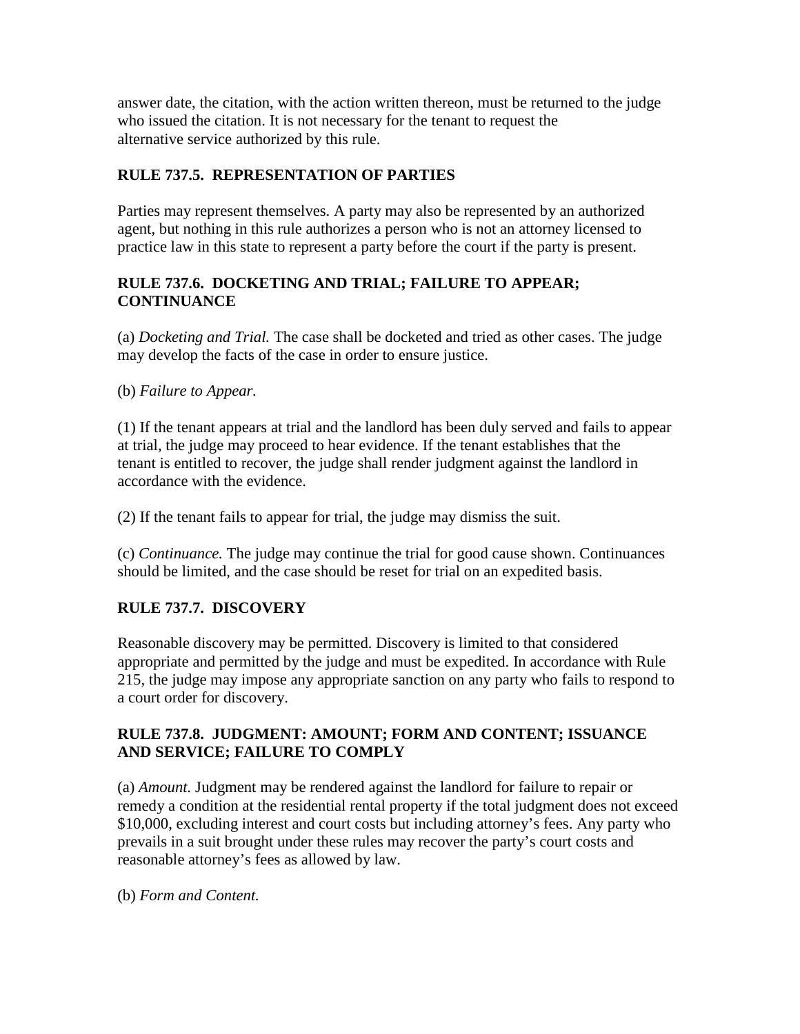answer date, the citation, with the action written thereon, must be returned to the judge who issued the citation. It is not necessary for the tenant to request the alternative service authorized by this rule.

# **RULE 737.5. REPRESENTATION OF PARTIES**

Parties may represent themselves. A party may also be represented by an authorized agent, but nothing in this rule authorizes a person who is not an attorney licensed to practice law in this state to represent a party before the court if the party is present.

### **RULE 737.6. DOCKETING AND TRIAL; FAILURE TO APPEAR; CONTINUANCE**

(a) *Docketing and Trial.* The case shall be docketed and tried as other cases. The judge may develop the facts of the case in order to ensure justice.

(b) *Failure to Appear.*

(1) If the tenant appears at trial and the landlord has been duly served and fails to appear at trial, the judge may proceed to hear evidence. If the tenant establishes that the tenant is entitled to recover, the judge shall render judgment against the landlord in accordance with the evidence.

(2) If the tenant fails to appear for trial, the judge may dismiss the suit.

(c) *Continuance.* The judge may continue the trial for good cause shown. Continuances should be limited, and the case should be reset for trial on an expedited basis.

## **RULE 737.7. DISCOVERY**

Reasonable discovery may be permitted. Discovery is limited to that considered appropriate and permitted by the judge and must be expedited. In accordance with Rule 215, the judge may impose any appropriate sanction on any party who fails to respond to a court order for discovery.

## **RULE 737.8. JUDGMENT: AMOUNT; FORM AND CONTENT; ISSUANCE AND SERVICE; FAILURE TO COMPLY**

(a) *Amount.* Judgment may be rendered against the landlord for failure to repair or remedy a condition at the residential rental property if the total judgment does not exceed \$10,000, excluding interest and court costs but including attorney's fees. Any party who prevails in a suit brought under these rules may recover the party's court costs and reasonable attorney's fees as allowed by law.

(b) *Form and Content.*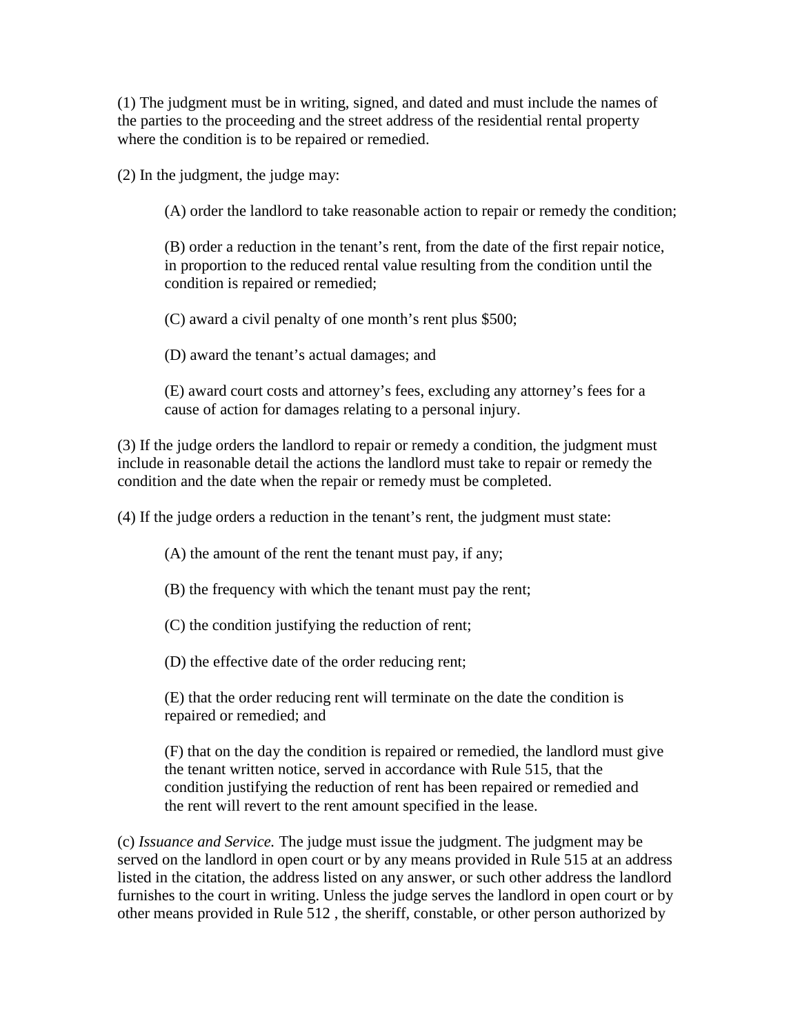(1) The judgment must be in writing, signed, and dated and must include the names of the parties to the proceeding and the street address of the residential rental property where the condition is to be repaired or remedied.

(2) In the judgment, the judge may:

(A) order the landlord to take reasonable action to repair or remedy the condition;

(B) order a reduction in the tenant's rent, from the date of the first repair notice, in proportion to the reduced rental value resulting from the condition until the condition is repaired or remedied;

(C) award a civil penalty of one month's rent plus \$500;

(D) award the tenant's actual damages; and

(E) award court costs and attorney's fees, excluding any attorney's fees for a cause of action for damages relating to a personal injury.

(3) If the judge orders the landlord to repair or remedy a condition, the judgment must include in reasonable detail the actions the landlord must take to repair or remedy the condition and the date when the repair or remedy must be completed.

(4) If the judge orders a reduction in the tenant's rent, the judgment must state:

(A) the amount of the rent the tenant must pay, if any;

(B) the frequency with which the tenant must pay the rent;

(C) the condition justifying the reduction of rent;

(D) the effective date of the order reducing rent;

(E) that the order reducing rent will terminate on the date the condition is repaired or remedied; and

(F) that on the day the condition is repaired or remedied, the landlord must give the tenant written notice, served in accordance with Rule 515, that the condition justifying the reduction of rent has been repaired or remedied and the rent will revert to the rent amount specified in the lease.

(c) *Issuance and Service.* The judge must issue the judgment. The judgment may be served on the landlord in open court or by any means provided in Rule 515 at an address listed in the citation, the address listed on any answer, or such other address the landlord furnishes to the court in writing. Unless the judge serves the landlord in open court or by other means provided in Rule 512 , the sheriff, constable, or other person authorized by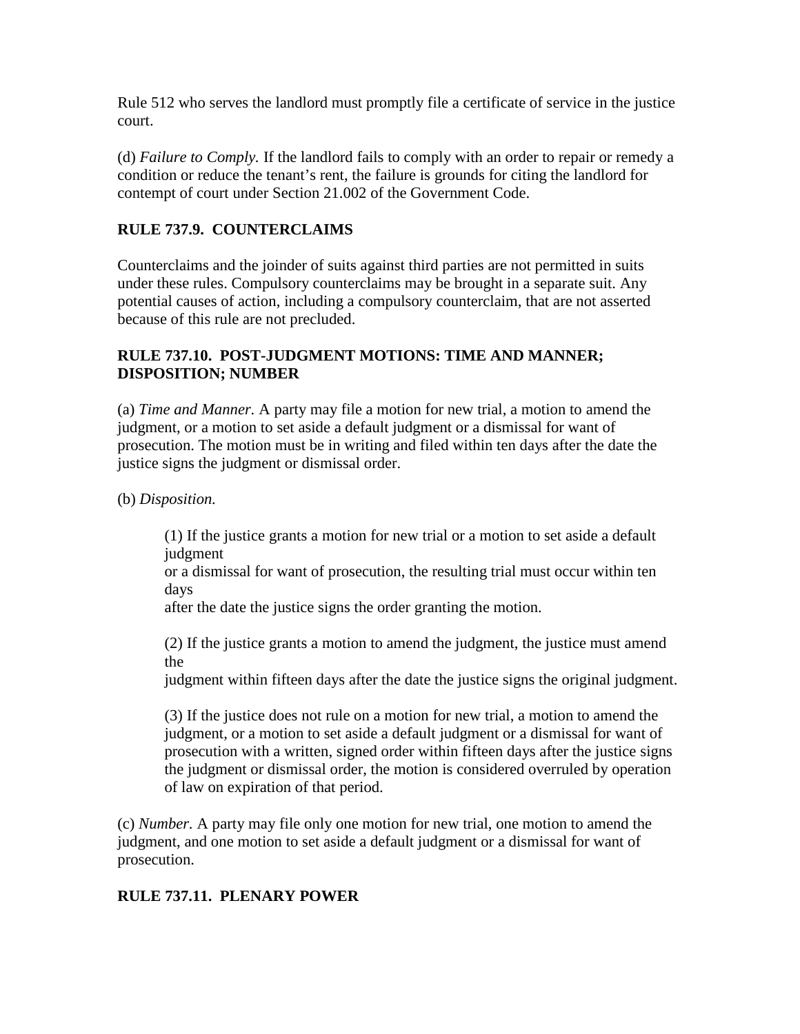Rule 512 who serves the landlord must promptly file a certificate of service in the justice court.

(d) *Failure to Comply.* If the landlord fails to comply with an order to repair or remedy a condition or reduce the tenant's rent, the failure is grounds for citing the landlord for contempt of court under Section 21.002 of the Government Code.

## **RULE 737.9. COUNTERCLAIMS**

Counterclaims and the joinder of suits against third parties are not permitted in suits under these rules. Compulsory counterclaims may be brought in a separate suit. Any potential causes of action, including a compulsory counterclaim, that are not asserted because of this rule are not precluded.

### **RULE 737.10. POST-JUDGMENT MOTIONS: TIME AND MANNER; DISPOSITION; NUMBER**

(a) *Time and Manner.* A party may file a motion for new trial, a motion to amend the judgment, or a motion to set aside a default judgment or a dismissal for want of prosecution. The motion must be in writing and filed within ten days after the date the justice signs the judgment or dismissal order.

(b) *Disposition.*

(1) If the justice grants a motion for new trial or a motion to set aside a default judgment

or a dismissal for want of prosecution, the resulting trial must occur within ten days

after the date the justice signs the order granting the motion.

(2) If the justice grants a motion to amend the judgment, the justice must amend the

judgment within fifteen days after the date the justice signs the original judgment.

(3) If the justice does not rule on a motion for new trial, a motion to amend the judgment, or a motion to set aside a default judgment or a dismissal for want of prosecution with a written, signed order within fifteen days after the justice signs the judgment or dismissal order, the motion is considered overruled by operation of law on expiration of that period.

(c) *Number.* A party may file only one motion for new trial, one motion to amend the judgment, and one motion to set aside a default judgment or a dismissal for want of prosecution.

## **RULE 737.11. PLENARY POWER**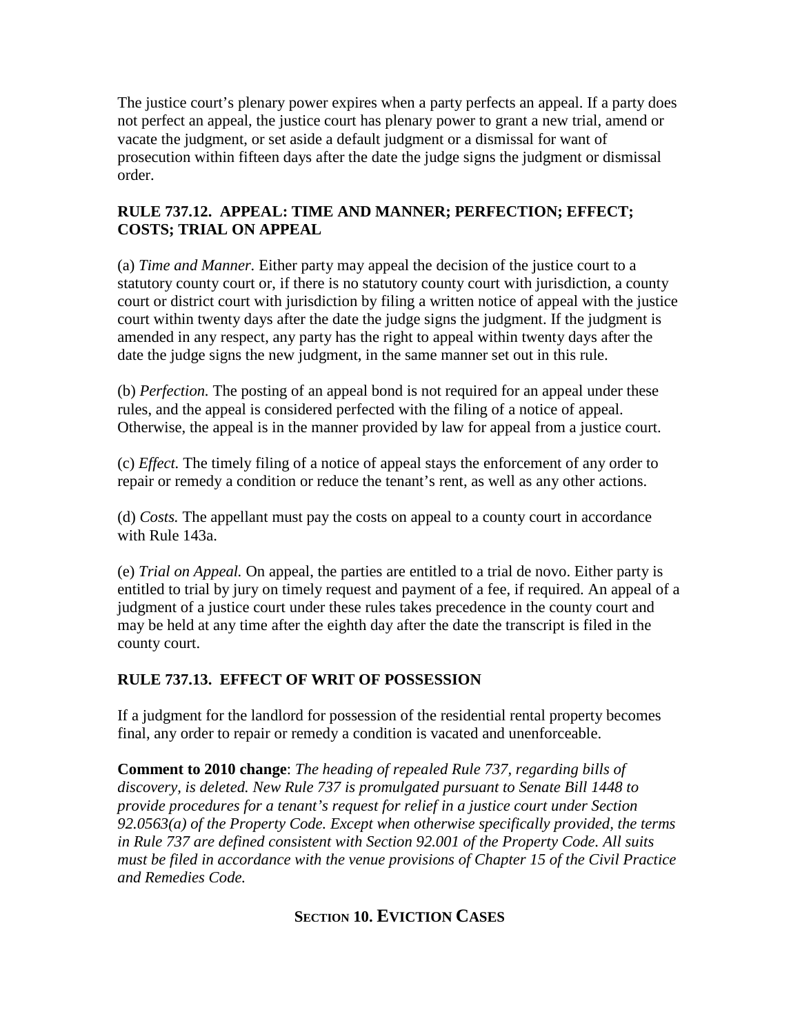The justice court's plenary power expires when a party perfects an appeal. If a party does not perfect an appeal, the justice court has plenary power to grant a new trial, amend or vacate the judgment, or set aside a default judgment or a dismissal for want of prosecution within fifteen days after the date the judge signs the judgment or dismissal order.

## **RULE 737.12. APPEAL: TIME AND MANNER; PERFECTION; EFFECT; COSTS; TRIAL ON APPEAL**

(a) *Time and Manner.* Either party may appeal the decision of the justice court to a statutory county court or, if there is no statutory county court with jurisdiction, a county court or district court with jurisdiction by filing a written notice of appeal with the justice court within twenty days after the date the judge signs the judgment. If the judgment is amended in any respect, any party has the right to appeal within twenty days after the date the judge signs the new judgment, in the same manner set out in this rule.

(b) *Perfection.* The posting of an appeal bond is not required for an appeal under these rules, and the appeal is considered perfected with the filing of a notice of appeal. Otherwise, the appeal is in the manner provided by law for appeal from a justice court.

(c) *Effect.* The timely filing of a notice of appeal stays the enforcement of any order to repair or remedy a condition or reduce the tenant's rent, as well as any other actions.

(d) *Costs.* The appellant must pay the costs on appeal to a county court in accordance with Rule 143a.

(e) *Trial on Appeal.* On appeal, the parties are entitled to a trial de novo. Either party is entitled to trial by jury on timely request and payment of a fee, if required. An appeal of a judgment of a justice court under these rules takes precedence in the county court and may be held at any time after the eighth day after the date the transcript is filed in the county court.

## **RULE 737.13. EFFECT OF WRIT OF POSSESSION**

If a judgment for the landlord for possession of the residential rental property becomes final, any order to repair or remedy a condition is vacated and unenforceable.

**Comment to 2010 change**: *The heading of repealed Rule 737, regarding bills of discovery, is deleted. New Rule 737 is promulgated pursuant to Senate Bill 1448 to provide procedures for a tenant's request for relief in a justice court under Section 92.0563(a) of the Property Code. Except when otherwise specifically provided, the terms in Rule 737 are defined consistent with Section 92.001 of the Property Code. All suits must be filed in accordance with the venue provisions of Chapter 15 of the Civil Practice and Remedies Code.*

## **SECTION 10. EVICTION CASES**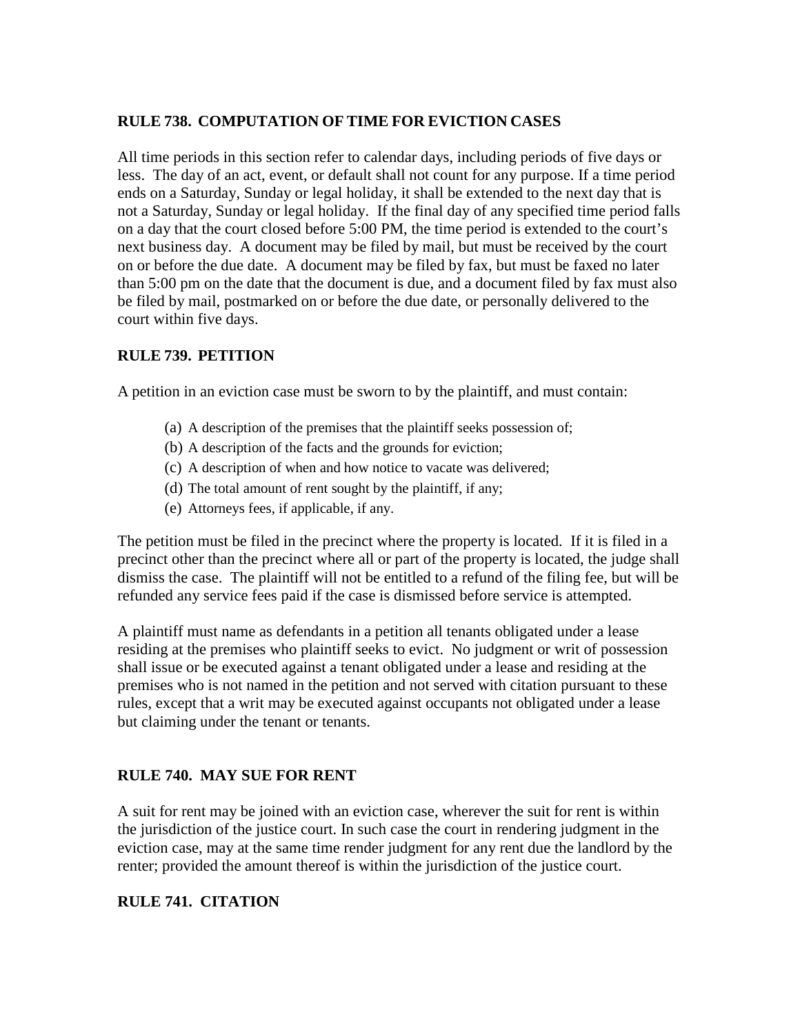#### **RULE 738. COMPUTATION OF TIME FOR EVICTION CASES**

All time periods in this section refer to calendar days, including periods of five days or less. The day of an act, event, or default shall not count for any purpose. If a time period ends on a Saturday, Sunday or legal holiday, it shall be extended to the next day that is not a Saturday, Sunday or legal holiday. If the final day of any specified time period falls on a day that the court closed before 5:00 PM, the time period is extended to the court's next business day. A document may be filed by mail, but must be received by the court on or before the due date. A document may be filed by fax, but must be faxed no later than 5:00 pm on the date that the document is due, and a document filed by fax must also be filed by mail, postmarked on or before the due date, or personally delivered to the court within five days.

#### **RULE 739. PETITION**

A petition in an eviction case must be sworn to by the plaintiff, and must contain:

- (a) A description of the premises that the plaintiff seeks possession of;
- (b) A description of the facts and the grounds for eviction;
- (c) A description of when and how notice to vacate was delivered;
- (d) The total amount of rent sought by the plaintiff, if any;
- (e) Attorneys fees, if applicable, if any.

The petition must be filed in the precinct where the property is located. If it is filed in a precinct other than the precinct where all or part of the property is located, the judge shall dismiss the case. The plaintiff will not be entitled to a refund of the filing fee, but will be refunded any service fees paid if the case is dismissed before service is attempted.

A plaintiff must name as defendants in a petition all tenants obligated under a lease residing at the premises who plaintiff seeks to evict. No judgment or writ of possession shall issue or be executed against a tenant obligated under a lease and residing at the premises who is not named in the petition and not served with citation pursuant to these rules, except that a writ may be executed against occupants not obligated under a lease but claiming under the tenant or tenants.

#### **RULE 740. MAY SUE FOR RENT**

A suit for rent may be joined with an eviction case, wherever the suit for rent is within the jurisdiction of the justice court. In such case the court in rendering judgment in the eviction case, may at the same time render judgment for any rent due the landlord by the renter; provided the amount thereof is within the jurisdiction of the justice court.

### **RULE 741. CITATION**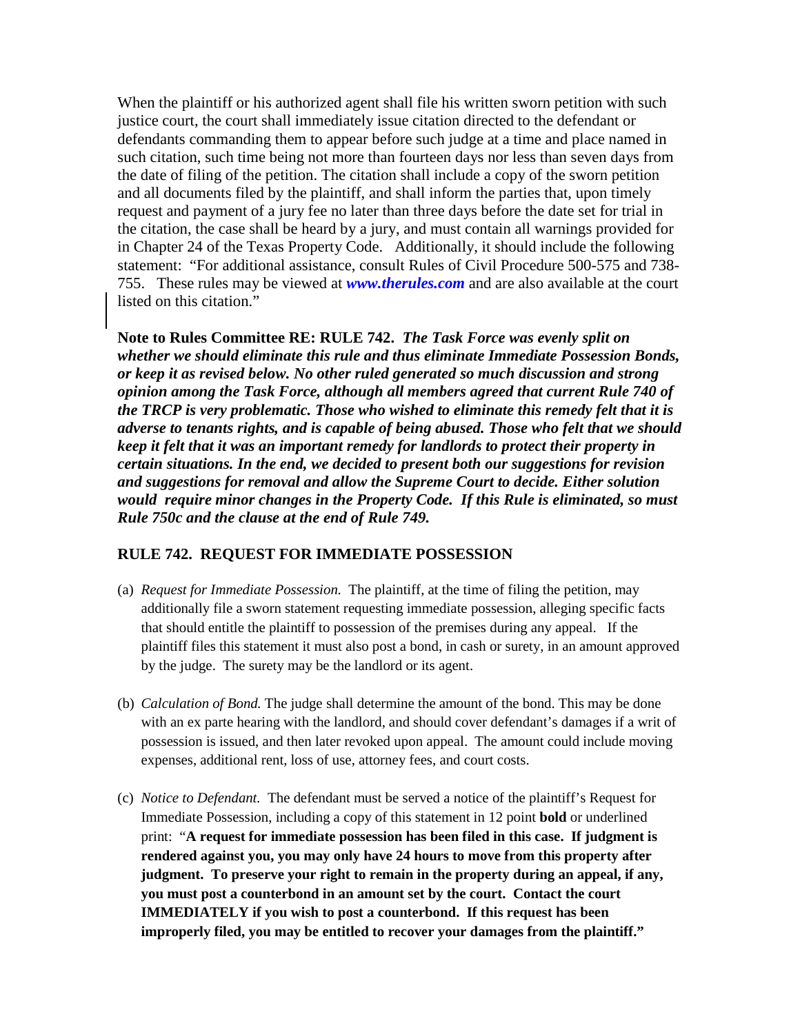When the plaintiff or his authorized agent shall file his written sworn petition with such justice court, the court shall immediately issue citation directed to the defendant or defendants commanding them to appear before such judge at a time and place named in such citation, such time being not more than fourteen days nor less than seven days from the date of filing of the petition. The citation shall include a copy of the sworn petition and all documents filed by the plaintiff, and shall inform the parties that, upon timely request and payment of a jury fee no later than three days before the date set for trial in the citation, the case shall be heard by a jury, and must contain all warnings provided for in Chapter 24 of the Texas Property Code. Additionally, it should include the following statement: "For additional assistance, consult Rules of Civil Procedure 500-575 and 738- 755. These rules may be viewed at *[www.therules.com](http://www.therules.com/)* and are also available at the court listed on this citation."

**Note to Rules Committee RE: RULE 742.** *The Task Force was evenly split on whether we should eliminate this rule and thus eliminate Immediate Possession Bonds, or keep it as revised below. No other ruled generated so much discussion and strong opinion among the Task Force, although all members agreed that current Rule 740 of the TRCP is very problematic. Those who wished to eliminate this remedy felt that it is adverse to tenants rights, and is capable of being abused. Those who felt that we should keep it felt that it was an important remedy for landlords to protect their property in certain situations. In the end, we decided to present both our suggestions for revision and suggestions for removal and allow the Supreme Court to decide. Either solution would require minor changes in the Property Code. If this Rule is eliminated, so must Rule 750c and the clause at the end of Rule 749.*

#### **RULE 742. REQUEST FOR IMMEDIATE POSSESSION**

- (a) *Request for Immediate Possession.* The plaintiff, at the time of filing the petition, may additionally file a sworn statement requesting immediate possession, alleging specific facts that should entitle the plaintiff to possession of the premises during any appeal. If the plaintiff files this statement it must also post a bond, in cash or surety, in an amount approved by the judge. The surety may be the landlord or its agent.
- (b) *Calculation of Bond.* The judge shall determine the amount of the bond. This may be done with an ex parte hearing with the landlord, and should cover defendant's damages if a writ of possession is issued, and then later revoked upon appeal. The amount could include moving expenses, additional rent, loss of use, attorney fees, and court costs.
- (c) *Notice to Defendant.* The defendant must be served a notice of the plaintiff's Request for Immediate Possession, including a copy of this statement in 12 point **bold** or underlined print: "**A request for immediate possession has been filed in this case. If judgment is rendered against you, you may only have 24 hours to move from this property after judgment. To preserve your right to remain in the property during an appeal, if any, you must post a counterbond in an amount set by the court. Contact the court IMMEDIATELY if you wish to post a counterbond. If this request has been improperly filed, you may be entitled to recover your damages from the plaintiff."**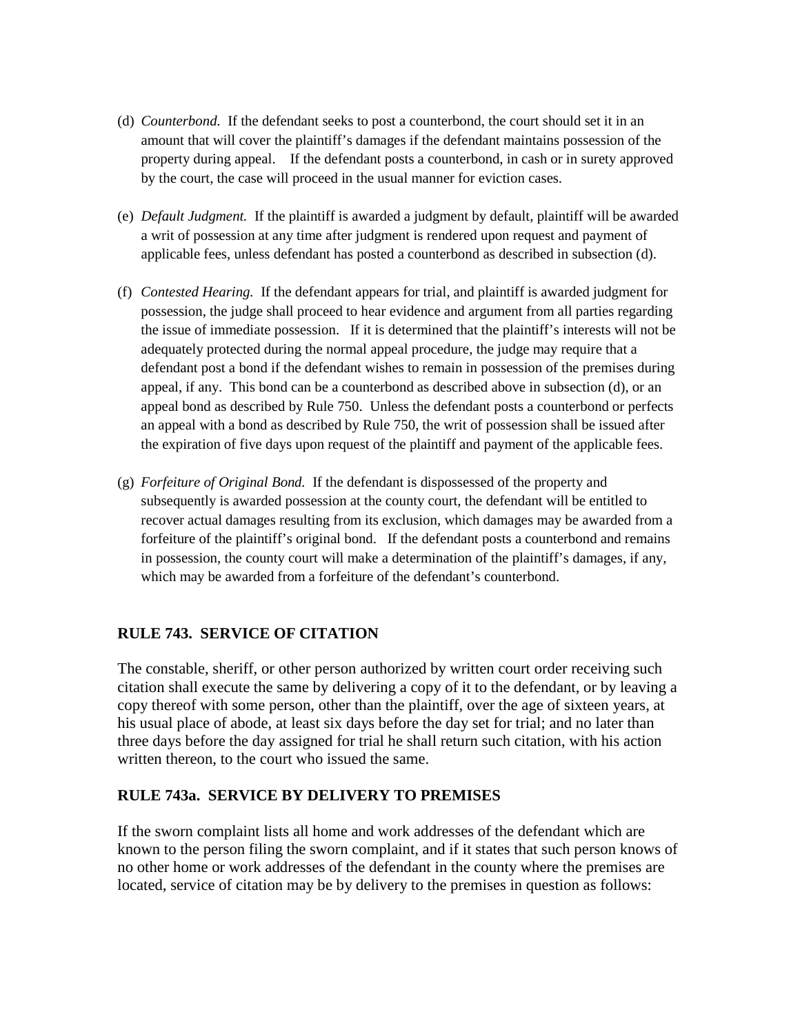- (d) *Counterbond.* If the defendant seeks to post a counterbond, the court should set it in an amount that will cover the plaintiff's damages if the defendant maintains possession of the property during appeal. If the defendant posts a counterbond, in cash or in surety approved by the court, the case will proceed in the usual manner for eviction cases.
- (e) *Default Judgment.* If the plaintiff is awarded a judgment by default, plaintiff will be awarded a writ of possession at any time after judgment is rendered upon request and payment of applicable fees, unless defendant has posted a counterbond as described in subsection (d).
- (f) *Contested Hearing.* If the defendant appears for trial, and plaintiff is awarded judgment for possession, the judge shall proceed to hear evidence and argument from all parties regarding the issue of immediate possession. If it is determined that the plaintiff's interests will not be adequately protected during the normal appeal procedure, the judge may require that a defendant post a bond if the defendant wishes to remain in possession of the premises during appeal, if any. This bond can be a counterbond as described above in subsection (d), or an appeal bond as described by Rule 750. Unless the defendant posts a counterbond or perfects an appeal with a bond as described by Rule 750, the writ of possession shall be issued after the expiration of five days upon request of the plaintiff and payment of the applicable fees.
- (g) *Forfeiture of Original Bond.* If the defendant is dispossessed of the property and subsequently is awarded possession at the county court, the defendant will be entitled to recover actual damages resulting from its exclusion, which damages may be awarded from a forfeiture of the plaintiff's original bond. If the defendant posts a counterbond and remains in possession, the county court will make a determination of the plaintiff's damages, if any, which may be awarded from a forfeiture of the defendant's counterbond.

#### **RULE 743. SERVICE OF CITATION**

The constable, sheriff, or other person authorized by written court order receiving such citation shall execute the same by delivering a copy of it to the defendant, or by leaving a copy thereof with some person, other than the plaintiff, over the age of sixteen years, at his usual place of abode, at least six days before the day set for trial; and no later than three days before the day assigned for trial he shall return such citation, with his action written thereon, to the court who issued the same.

#### **RULE 743a. SERVICE BY DELIVERY TO PREMISES**

If the sworn complaint lists all home and work addresses of the defendant which are known to the person filing the sworn complaint, and if it states that such person knows of no other home or work addresses of the defendant in the county where the premises are located, service of citation may be by delivery to the premises in question as follows: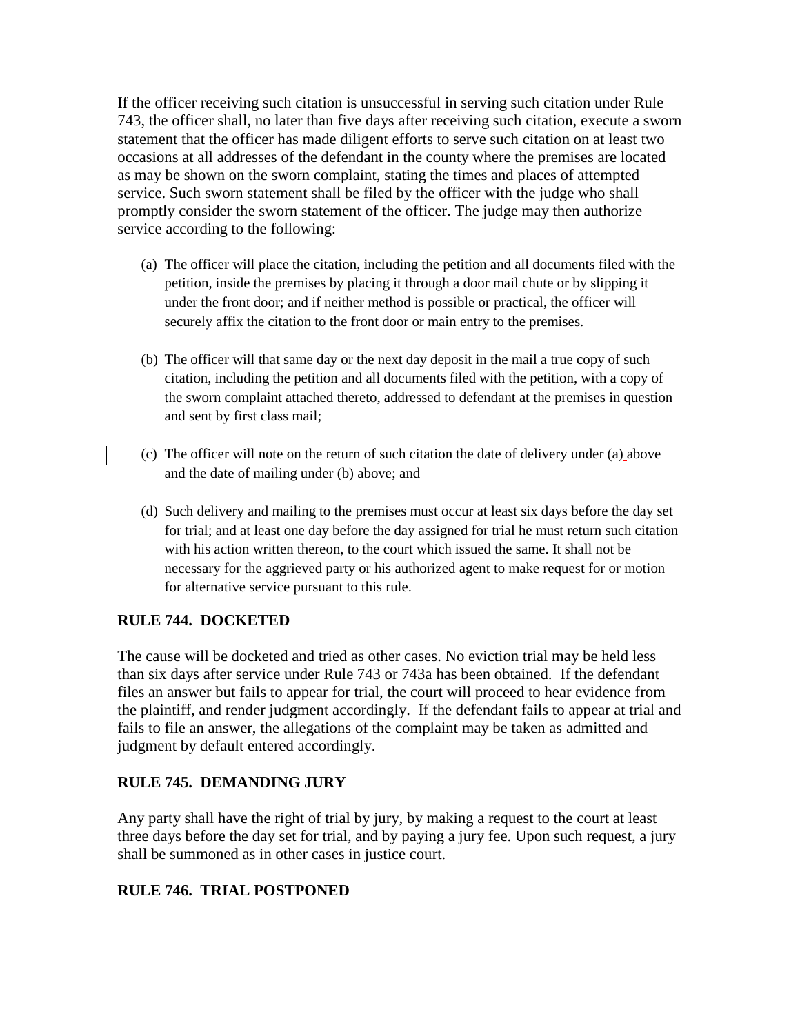If the officer receiving such citation is unsuccessful in serving such citation under Rule 743, the officer shall, no later than five days after receiving such citation, execute a sworn statement that the officer has made diligent efforts to serve such citation on at least two occasions at all addresses of the defendant in the county where the premises are located as may be shown on the sworn complaint, stating the times and places of attempted service. Such sworn statement shall be filed by the officer with the judge who shall promptly consider the sworn statement of the officer. The judge may then authorize service according to the following:

- (a) The officer will place the citation, including the petition and all documents filed with the petition, inside the premises by placing it through a door mail chute or by slipping it under the front door; and if neither method is possible or practical, the officer will securely affix the citation to the front door or main entry to the premises.
- (b) The officer will that same day or the next day deposit in the mail a true copy of such citation, including the petition and all documents filed with the petition, with a copy of the sworn complaint attached thereto, addressed to defendant at the premises in question and sent by first class mail;
- (c) The officer will note on the return of such citation the date of delivery under (a) above and the date of mailing under (b) above; and
- (d) Such delivery and mailing to the premises must occur at least six days before the day set for trial; and at least one day before the day assigned for trial he must return such citation with his action written thereon, to the court which issued the same. It shall not be necessary for the aggrieved party or his authorized agent to make request for or motion for alternative service pursuant to this rule.

### **RULE 744. DOCKETED**

The cause will be docketed and tried as other cases. No eviction trial may be held less than six days after service under Rule 743 or 743a has been obtained. If the defendant files an answer but fails to appear for trial, the court will proceed to hear evidence from the plaintiff, and render judgment accordingly. If the defendant fails to appear at trial and fails to file an answer, the allegations of the complaint may be taken as admitted and judgment by default entered accordingly.

### **RULE 745. DEMANDING JURY**

Any party shall have the right of trial by jury, by making a request to the court at least three days before the day set for trial, and by paying a jury fee. Upon such request, a jury shall be summoned as in other cases in justice court.

## **RULE 746. TRIAL POSTPONED**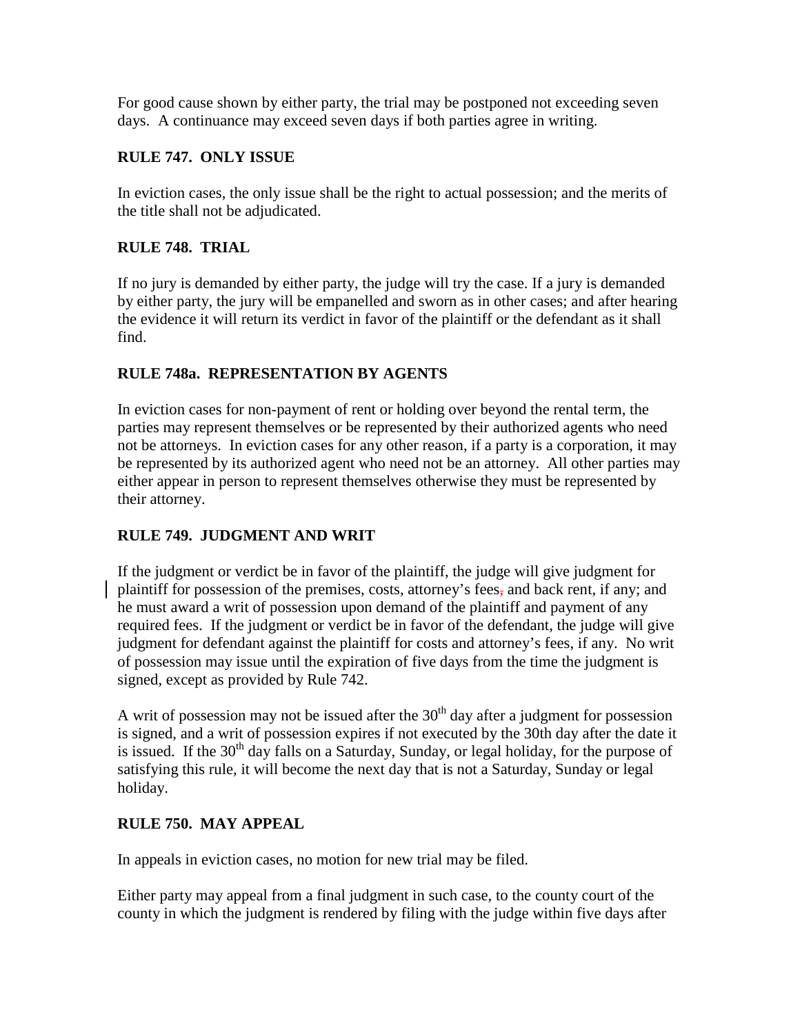For good cause shown by either party, the trial may be postponed not exceeding seven days. A continuance may exceed seven days if both parties agree in writing.

### **RULE 747. ONLY ISSUE**

In eviction cases, the only issue shall be the right to actual possession; and the merits of the title shall not be adjudicated.

### **RULE 748. TRIAL**

If no jury is demanded by either party, the judge will try the case. If a jury is demanded by either party, the jury will be empanelled and sworn as in other cases; and after hearing the evidence it will return its verdict in favor of the plaintiff or the defendant as it shall find.

## **RULE 748a. REPRESENTATION BY AGENTS**

In eviction cases for non-payment of rent or holding over beyond the rental term, the parties may represent themselves or be represented by their authorized agents who need not be attorneys. In eviction cases for any other reason, if a party is a corporation, it may be represented by its authorized agent who need not be an attorney. All other parties may either appear in person to represent themselves otherwise they must be represented by their attorney.

## **RULE 749. JUDGMENT AND WRIT**

If the judgment or verdict be in favor of the plaintiff, the judge will give judgment for plaintiff for possession of the premises, costs, attorney's fees, and back rent, if any; and he must award a writ of possession upon demand of the plaintiff and payment of any required fees. If the judgment or verdict be in favor of the defendant, the judge will give judgment for defendant against the plaintiff for costs and attorney's fees, if any. No writ of possession may issue until the expiration of five days from the time the judgment is signed, except as provided by Rule 742.

A writ of possession may not be issued after the  $30<sup>th</sup>$  day after a judgment for possession is signed, and a writ of possession expires if not executed by the 30th day after the date it is issued. If the  $30<sup>th</sup>$  day falls on a Saturday, Sunday, or legal holiday, for the purpose of satisfying this rule, it will become the next day that is not a Saturday, Sunday or legal holiday.

### **RULE 750. MAY APPEAL**

In appeals in eviction cases, no motion for new trial may be filed.

Either party may appeal from a final judgment in such case, to the county court of the county in which the judgment is rendered by filing with the judge within five days after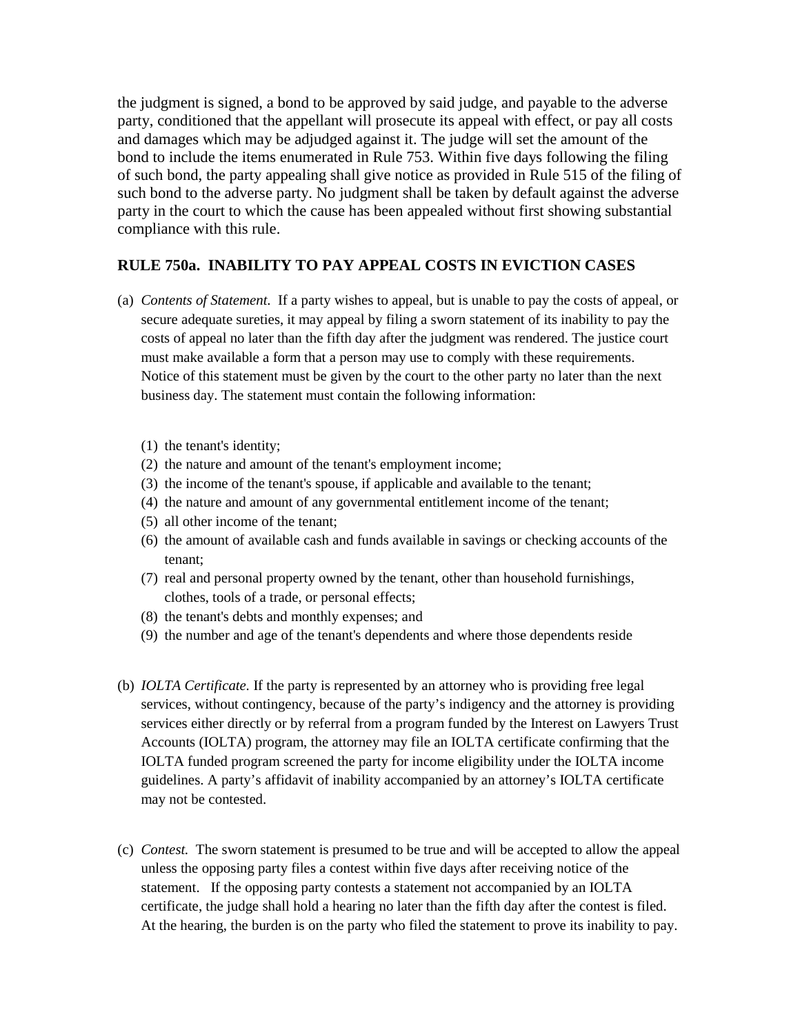the judgment is signed, a bond to be approved by said judge, and payable to the adverse party, conditioned that the appellant will prosecute its appeal with effect, or pay all costs and damages which may be adjudged against it. The judge will set the amount of the bond to include the items enumerated in Rule 753. Within five days following the filing of such bond, the party appealing shall give notice as provided in Rule 515 of the filing of such bond to the adverse party. No judgment shall be taken by default against the adverse party in the court to which the cause has been appealed without first showing substantial compliance with this rule.

#### **RULE 750a. INABILITY TO PAY APPEAL COSTS IN EVICTION CASES**

- (a) *Contents of Statement.* If a party wishes to appeal, but is unable to pay the costs of appeal, or secure adequate sureties, it may appeal by filing a sworn statement of its inability to pay the costs of appeal no later than the fifth day after the judgment was rendered. The justice court must make available a form that a person may use to comply with these requirements. Notice of this statement must be given by the court to the other party no later than the next business day. The statement must contain the following information:
	- (1) the tenant's identity;
	- (2) the nature and amount of the tenant's employment income;
	- (3) the income of the tenant's spouse, if applicable and available to the tenant;
	- (4) the nature and amount of any governmental entitlement income of the tenant;
	- (5) all other income of the tenant;
	- (6) the amount of available cash and funds available in savings or checking accounts of the tenant;
	- (7) real and personal property owned by the tenant, other than household furnishings, clothes, tools of a trade, or personal effects;
	- (8) the tenant's debts and monthly expenses; and
	- (9) the number and age of the tenant's dependents and where those dependents reside
- (b) *IOLTA Certificate.* If the party is represented by an attorney who is providing free legal services, without contingency, because of the party's indigency and the attorney is providing services either directly or by referral from a program funded by the Interest on Lawyers Trust Accounts (IOLTA) program, the attorney may file an IOLTA certificate confirming that the IOLTA funded program screened the party for income eligibility under the IOLTA income guidelines. A party's affidavit of inability accompanied by an attorney's IOLTA certificate may not be contested.
- (c) *Contest.* The sworn statement is presumed to be true and will be accepted to allow the appeal unless the opposing party files a contest within five days after receiving notice of the statement. If the opposing party contests a statement not accompanied by an IOLTA certificate, the judge shall hold a hearing no later than the fifth day after the contest is filed. At the hearing, the burden is on the party who filed the statement to prove its inability to pay.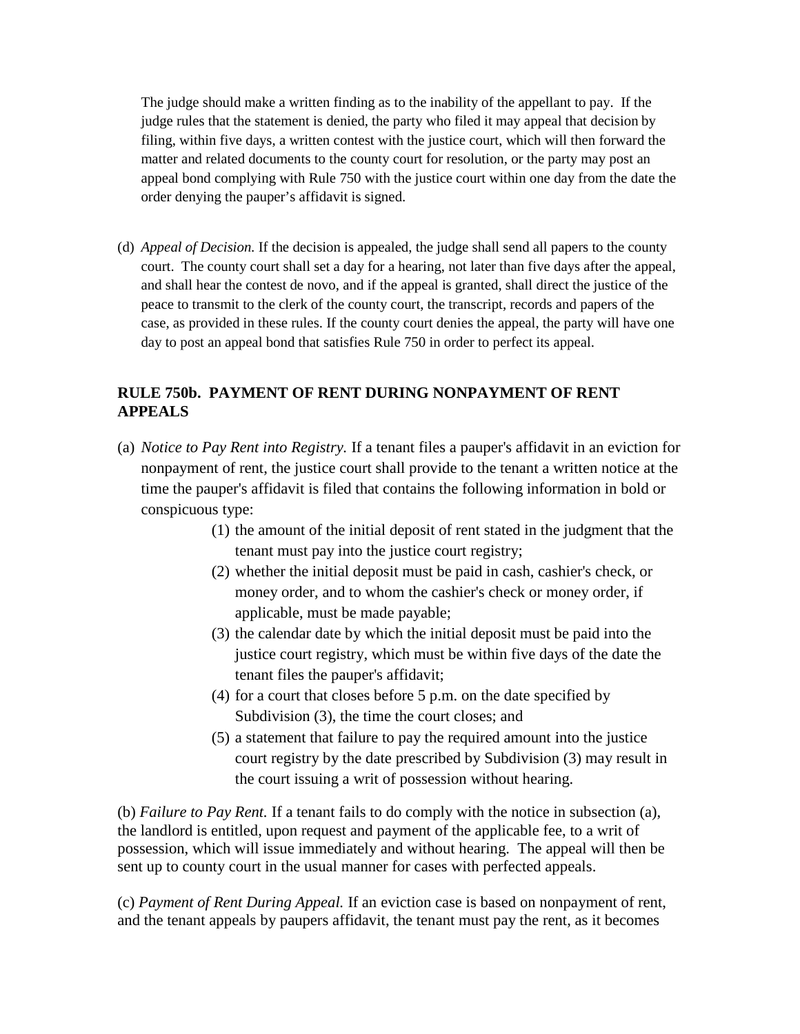The judge should make a written finding as to the inability of the appellant to pay. If the judge rules that the statement is denied, the party who filed it may appeal that decision by filing, within five days, a written contest with the justice court, which will then forward the matter and related documents to the county court for resolution, or the party may post an appeal bond complying with Rule 750 with the justice court within one day from the date the order denying the pauper's affidavit is signed.

(d) *Appeal of Decision.* If the decision is appealed, the judge shall send all papers to the county court. The county court shall set a day for a hearing, not later than five days after the appeal, and shall hear the contest de novo, and if the appeal is granted, shall direct the justice of the peace to transmit to the clerk of the county court, the transcript, records and papers of the case, as provided in these rules. If the county court denies the appeal, the party will have one day to post an appeal bond that satisfies Rule 750 in order to perfect its appeal.

### **RULE 750b. PAYMENT OF RENT DURING NONPAYMENT OF RENT APPEALS**

- (a) *Notice to Pay Rent into Registry.* If a tenant files a pauper's affidavit in an eviction for nonpayment of rent, the justice court shall provide to the tenant a written notice at the time the pauper's affidavit is filed that contains the following information in bold or conspicuous type:
	- (1) the amount of the initial deposit of rent stated in the judgment that the tenant must pay into the justice court registry;
	- (2) whether the initial deposit must be paid in cash, cashier's check, or money order, and to whom the cashier's check or money order, if applicable, must be made payable;
	- (3) the calendar date by which the initial deposit must be paid into the justice court registry, which must be within five days of the date the tenant files the pauper's affidavit;
	- (4) for a court that closes before 5 p.m. on the date specified by Subdivision (3), the time the court closes; and
	- (5) a statement that failure to pay the required amount into the justice court registry by the date prescribed by Subdivision (3) may result in the court issuing a writ of possession without hearing.

(b) *Failure to Pay Rent.* If a tenant fails to do comply with the notice in subsection (a), the landlord is entitled, upon request and payment of the applicable fee, to a writ of possession, which will issue immediately and without hearing. The appeal will then be sent up to county court in the usual manner for cases with perfected appeals.

(c) *Payment of Rent During Appeal.* If an eviction case is based on nonpayment of rent, and the tenant appeals by paupers affidavit, the tenant must pay the rent, as it becomes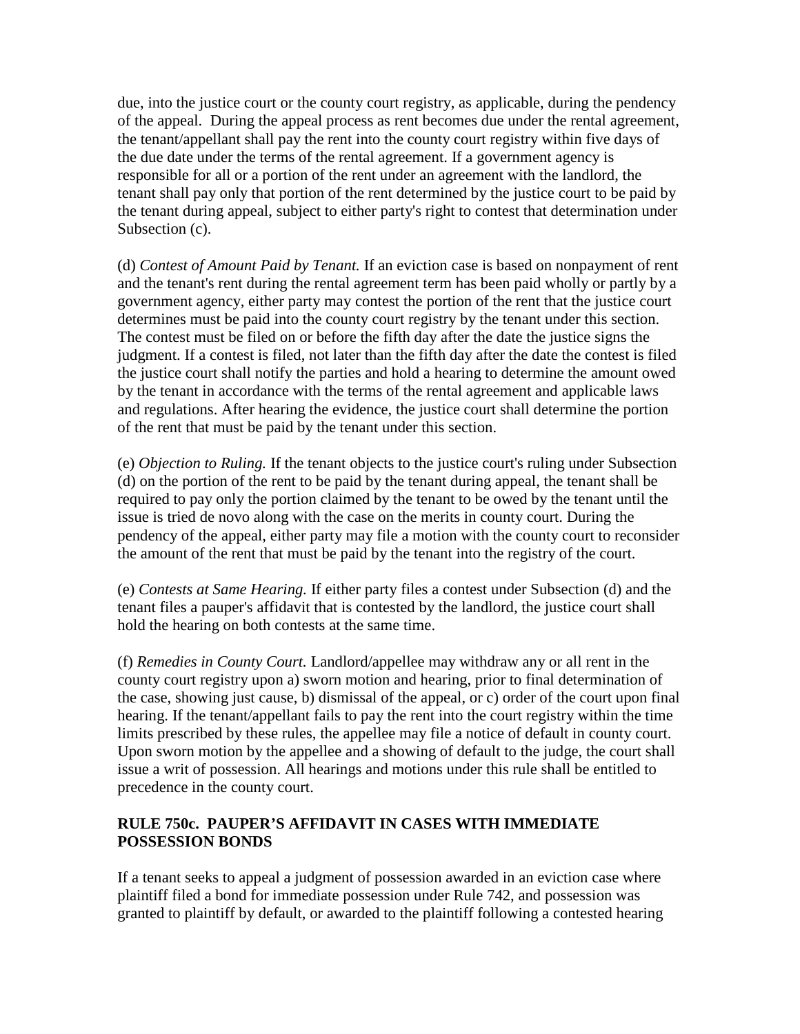due, into the justice court or the county court registry, as applicable, during the pendency of the appeal. During the appeal process as rent becomes due under the rental agreement, the tenant/appellant shall pay the rent into the county court registry within five days of the due date under the terms of the rental agreement. If a government agency is responsible for all or a portion of the rent under an agreement with the landlord, the tenant shall pay only that portion of the rent determined by the justice court to be paid by the tenant during appeal, subject to either party's right to contest that determination under Subsection (c).

(d) *Contest of Amount Paid by Tenant.* If an eviction case is based on nonpayment of rent and the tenant's rent during the rental agreement term has been paid wholly or partly by a government agency, either party may contest the portion of the rent that the justice court determines must be paid into the county court registry by the tenant under this section. The contest must be filed on or before the fifth day after the date the justice signs the judgment. If a contest is filed, not later than the fifth day after the date the contest is filed the justice court shall notify the parties and hold a hearing to determine the amount owed by the tenant in accordance with the terms of the rental agreement and applicable laws and regulations. After hearing the evidence, the justice court shall determine the portion of the rent that must be paid by the tenant under this section.

(e) *Objection to Ruling.* If the tenant objects to the justice court's ruling under Subsection (d) on the portion of the rent to be paid by the tenant during appeal, the tenant shall be required to pay only the portion claimed by the tenant to be owed by the tenant until the issue is tried de novo along with the case on the merits in county court. During the pendency of the appeal, either party may file a motion with the county court to reconsider the amount of the rent that must be paid by the tenant into the registry of the court.

(e) *Contests at Same Hearing.* If either party files a contest under Subsection (d) and the tenant files a pauper's affidavit that is contested by the landlord, the justice court shall hold the hearing on both contests at the same time.

(f) *Remedies in County Court.* Landlord/appellee may withdraw any or all rent in the county court registry upon a) sworn motion and hearing, prior to final determination of the case, showing just cause, b) dismissal of the appeal, or c) order of the court upon final hearing. If the tenant/appellant fails to pay the rent into the court registry within the time limits prescribed by these rules, the appellee may file a notice of default in county court. Upon sworn motion by the appellee and a showing of default to the judge, the court shall issue a writ of possession. All hearings and motions under this rule shall be entitled to precedence in the county court.

### **RULE 750c. PAUPER'S AFFIDAVIT IN CASES WITH IMMEDIATE POSSESSION BONDS**

If a tenant seeks to appeal a judgment of possession awarded in an eviction case where plaintiff filed a bond for immediate possession under Rule 742, and possession was granted to plaintiff by default, or awarded to the plaintiff following a contested hearing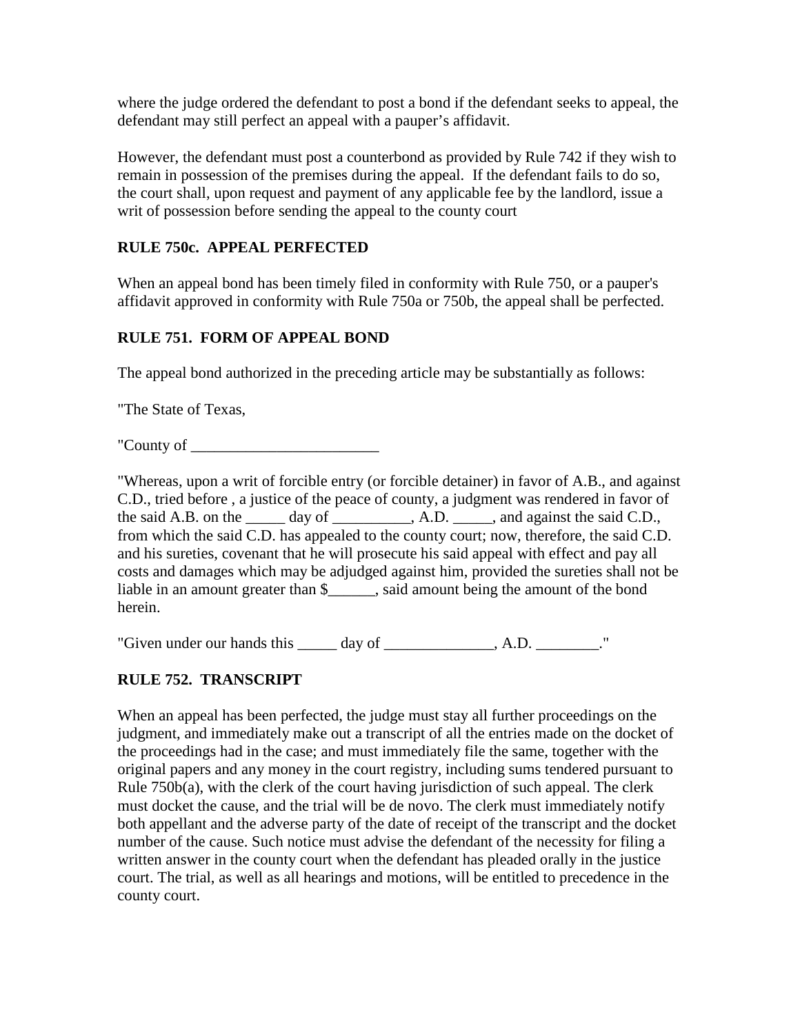where the judge ordered the defendant to post a bond if the defendant seeks to appeal, the defendant may still perfect an appeal with a pauper's affidavit.

However, the defendant must post a counterbond as provided by Rule 742 if they wish to remain in possession of the premises during the appeal. If the defendant fails to do so, the court shall, upon request and payment of any applicable fee by the landlord, issue a writ of possession before sending the appeal to the county court

### **RULE 750c. APPEAL PERFECTED**

When an appeal bond has been timely filed in conformity with Rule 750, or a pauper's affidavit approved in conformity with Rule 750a or 750b, the appeal shall be perfected.

## **RULE 751. FORM OF APPEAL BOND**

The appeal bond authorized in the preceding article may be substantially as follows:

"The State of Texas,

"County of \_\_\_\_\_\_\_\_\_\_\_\_\_\_\_\_\_\_\_\_\_\_\_\_

"Whereas, upon a writ of forcible entry (or forcible detainer) in favor of A.B., and against C.D., tried before , a justice of the peace of county, a judgment was rendered in favor of the said A.B. on the  $\qquad \qquad$  day of  $\qquad \qquad$ , A.D.  $\qquad \qquad$ , and against the said C.D., from which the said C.D. has appealed to the county court; now, therefore, the said C.D. and his sureties, covenant that he will prosecute his said appeal with effect and pay all costs and damages which may be adjudged against him, provided the sureties shall not be liable in an amount greater than \$\_\_\_\_\_\_, said amount being the amount of the bond herein.

"Given under our hands this day of \_\_\_\_\_\_\_\_\_\_\_\_, A.D. \_\_\_\_\_\_\_\_."

### **RULE 752. TRANSCRIPT**

When an appeal has been perfected, the judge must stay all further proceedings on the judgment, and immediately make out a transcript of all the entries made on the docket of the proceedings had in the case; and must immediately file the same, together with the original papers and any money in the court registry, including sums tendered pursuant to Rule 750b(a), with the clerk of the court having jurisdiction of such appeal. The clerk must docket the cause, and the trial will be de novo. The clerk must immediately notify both appellant and the adverse party of the date of receipt of the transcript and the docket number of the cause. Such notice must advise the defendant of the necessity for filing a written answer in the county court when the defendant has pleaded orally in the justice court. The trial, as well as all hearings and motions, will be entitled to precedence in the county court.